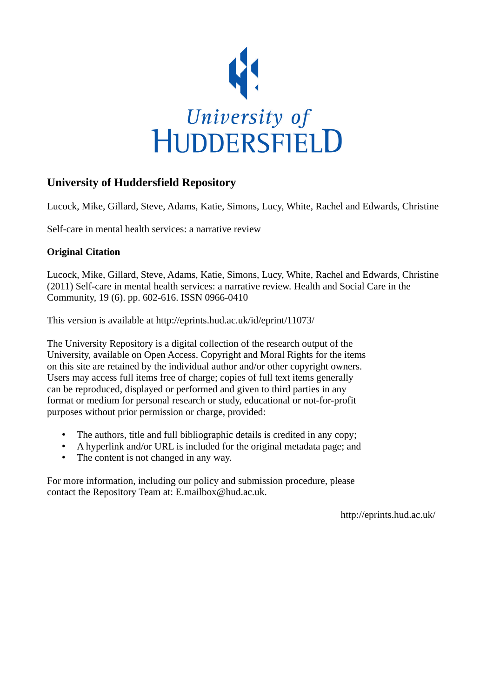

# **University of Huddersfield Repository**

Lucock, Mike, Gillard, Steve, Adams, Katie, Simons, Lucy, White, Rachel and Edwards, Christine

Self-care in mental health services: a narrative review

# **Original Citation**

Lucock, Mike, Gillard, Steve, Adams, Katie, Simons, Lucy, White, Rachel and Edwards, Christine (2011) Self-care in mental health services: a narrative review. Health and Social Care in the Community, 19 (6). pp. 602-616. ISSN 0966-0410

This version is available at http://eprints.hud.ac.uk/id/eprint/11073/

The University Repository is a digital collection of the research output of the University, available on Open Access. Copyright and Moral Rights for the items on this site are retained by the individual author and/or other copyright owners. Users may access full items free of charge; copies of full text items generally can be reproduced, displayed or performed and given to third parties in any format or medium for personal research or study, educational or not-for-profit purposes without prior permission or charge, provided:

- The authors, title and full bibliographic details is credited in any copy;
- A hyperlink and/or URL is included for the original metadata page; and
- The content is not changed in any way.

For more information, including our policy and submission procedure, please contact the Repository Team at: E.mailbox@hud.ac.uk.

http://eprints.hud.ac.uk/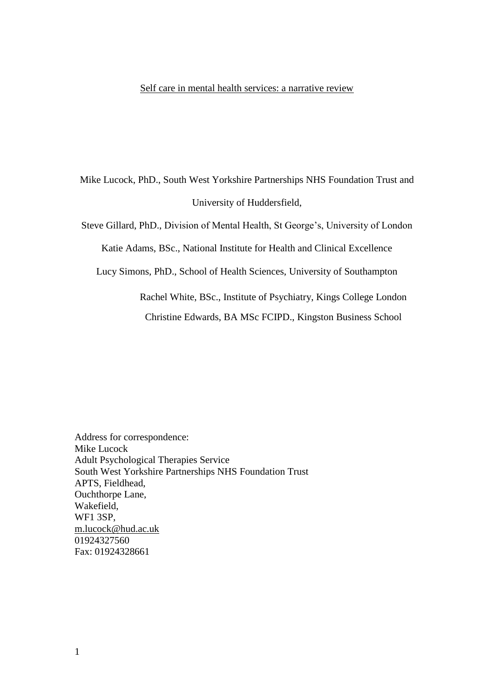## Self care in mental health services: a narrative review

Mike Lucock, PhD., South West Yorkshire Partnerships NHS Foundation Trust and University of Huddersfield,

Steve Gillard, PhD., Division of Mental Health, St George's, University of London

Katie Adams, BSc., National Institute for Health and Clinical Excellence

Lucy Simons, PhD., School of Health Sciences, University of Southampton

Rachel White, BSc., Institute of Psychiatry, Kings College London

Christine Edwards, BA MSc FCIPD., Kingston Business School

Address for correspondence: Mike Lucock Adult Psychological Therapies Service South West Yorkshire Partnerships NHS Foundation Trust APTS, Fieldhead, Ouchthorpe Lane, Wakefield, WF1 3SP, [m.lucock@hud.ac.uk](mailto:m.lucock@hud.ac.uk) 01924327560 Fax: 01924328661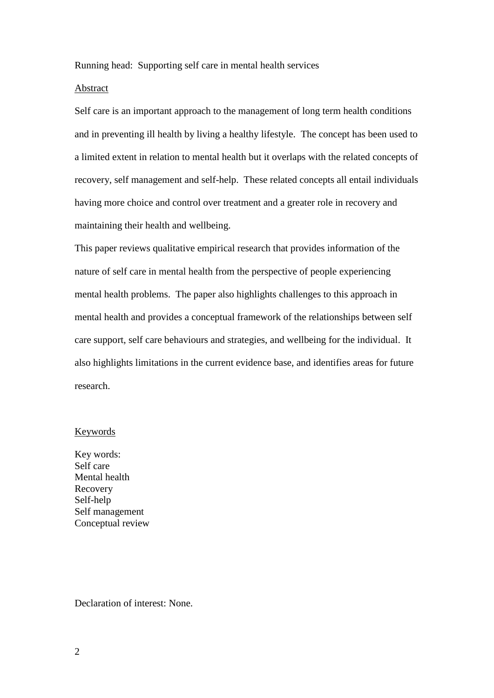Running head: Supporting self care in mental health services

# Abstract

Self care is an important approach to the management of long term health conditions and in preventing ill health by living a healthy lifestyle. The concept has been used to a limited extent in relation to mental health but it overlaps with the related concepts of recovery, self management and self-help. These related concepts all entail individuals having more choice and control over treatment and a greater role in recovery and maintaining their health and wellbeing.

This paper reviews qualitative empirical research that provides information of the nature of self care in mental health from the perspective of people experiencing mental health problems. The paper also highlights challenges to this approach in mental health and provides a conceptual framework of the relationships between self care support, self care behaviours and strategies, and wellbeing for the individual. It also highlights limitations in the current evidence base, and identifies areas for future research.

## Keywords

Key words: Self care Mental health Recovery Self-help Self management Conceptual review

Declaration of interest: None.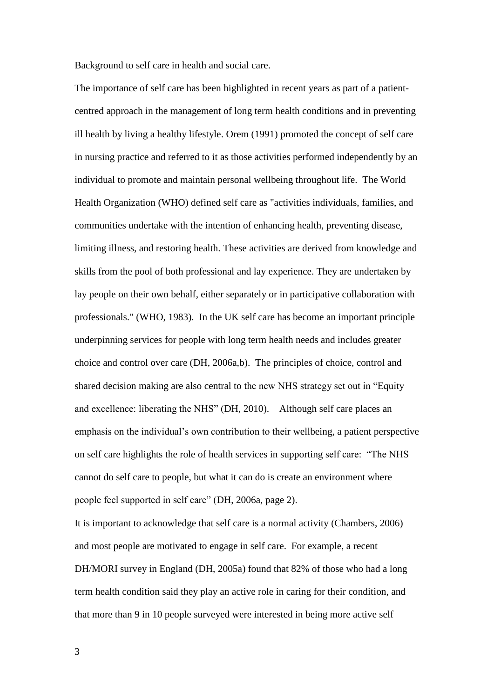#### Background to self care in health and social care.

The importance of self care has been highlighted in recent years as part of a patientcentred approach in the management of long term health conditions and in preventing ill health by living a healthy lifestyle. Orem (1991) promoted the concept of self care in nursing practice and referred to it as those activities performed independently by an individual to promote and maintain personal wellbeing throughout life. The World Health Organization (WHO) defined self care as "activities individuals, families, and communities undertake with the intention of enhancing health, preventing disease, limiting illness, and restoring health. These activities are derived from knowledge and skills from the pool of both professional and lay experience. They are undertaken by lay people on their own behalf, either separately or in participative collaboration with professionals." (WHO, 1983). In the UK self care has become an important principle underpinning services for people with long term health needs and includes greater choice and control over care (DH, 2006a,b). The principles of choice, control and shared decision making are also central to the new NHS strategy set out in "Equity and excellence: liberating the NHS" (DH, 2010). Although self care places an emphasis on the individual's own contribution to their wellbeing, a patient perspective on self care highlights the role of health services in supporting self care: "The NHS cannot do self care to people, but what it can do is create an environment where people feel supported in self care" (DH, 2006a, page 2).

It is important to acknowledge that self care is a normal activity (Chambers, 2006) and most people are motivated to engage in self care. For example, a recent DH/MORI survey in England (DH, 2005a) found that 82% of those who had a long term health condition said they play an active role in caring for their condition, and that more than 9 in 10 people surveyed were interested in being more active self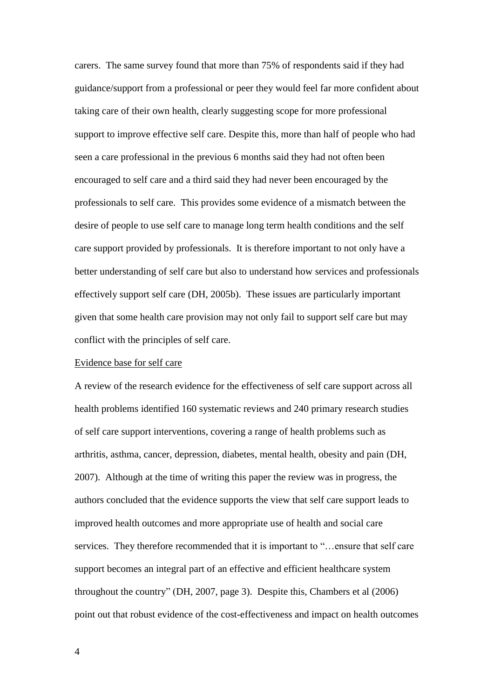carers. The same survey found that more than 75% of respondents said if they had guidance/support from a professional or peer they would feel far more confident about taking care of their own health, clearly suggesting scope for more professional support to improve effective self care. Despite this, more than half of people who had seen a care professional in the previous 6 months said they had not often been encouraged to self care and a third said they had never been encouraged by the professionals to self care. This provides some evidence of a mismatch between the desire of people to use self care to manage long term health conditions and the self care support provided by professionals. It is therefore important to not only have a better understanding of self care but also to understand how services and professionals effectively support self care (DH, 2005b). These issues are particularly important given that some health care provision may not only fail to support self care but may conflict with the principles of self care.

#### Evidence base for self care

A review of the research evidence for the effectiveness of self care support across all health problems identified 160 systematic reviews and 240 primary research studies of self care support interventions, covering a range of health problems such as arthritis, asthma, cancer, depression, diabetes, mental health, obesity and pain (DH, 2007). Although at the time of writing this paper the review was in progress, the authors concluded that the evidence supports the view that self care support leads to improved health outcomes and more appropriate use of health and social care services. They therefore recommended that it is important to "…ensure that self care support becomes an integral part of an effective and efficient healthcare system throughout the country" (DH, 2007, page 3). Despite this, Chambers et al (2006) point out that robust evidence of the cost-effectiveness and impact on health outcomes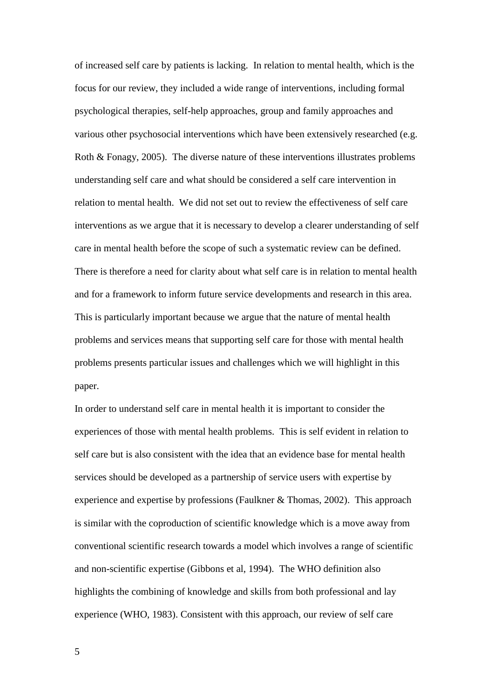of increased self care by patients is lacking. In relation to mental health, which is the focus for our review, they included a wide range of interventions, including formal psychological therapies, self-help approaches, group and family approaches and various other psychosocial interventions which have been extensively researched (e.g. Roth & Fonagy, 2005). The diverse nature of these interventions illustrates problems understanding self care and what should be considered a self care intervention in relation to mental health. We did not set out to review the effectiveness of self care interventions as we argue that it is necessary to develop a clearer understanding of self care in mental health before the scope of such a systematic review can be defined. There is therefore a need for clarity about what self care is in relation to mental health and for a framework to inform future service developments and research in this area. This is particularly important because we argue that the nature of mental health problems and services means that supporting self care for those with mental health problems presents particular issues and challenges which we will highlight in this paper.

In order to understand self care in mental health it is important to consider the experiences of those with mental health problems. This is self evident in relation to self care but is also consistent with the idea that an evidence base for mental health services should be developed as a partnership of service users with expertise by experience and expertise by professions (Faulkner & Thomas, 2002). This approach is similar with the coproduction of scientific knowledge which is a move away from conventional scientific research towards a model which involves a range of scientific and non-scientific expertise (Gibbons et al, 1994). The WHO definition also highlights the combining of knowledge and skills from both professional and lay experience (WHO, 1983). Consistent with this approach, our review of self care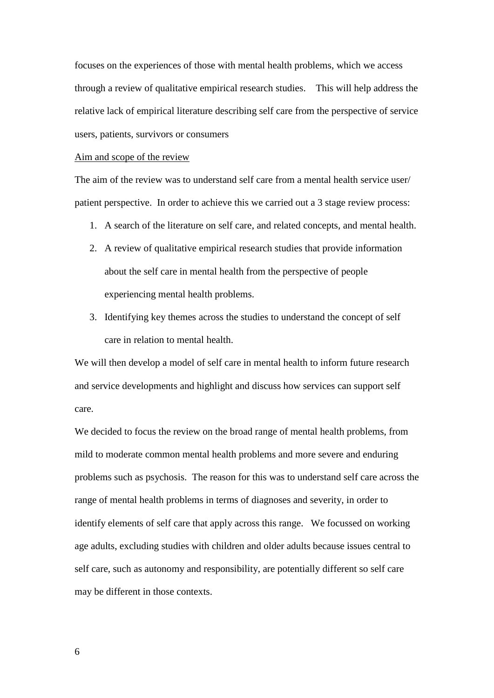focuses on the experiences of those with mental health problems, which we access through a review of qualitative empirical research studies. This will help address the relative lack of empirical literature describing self care from the perspective of service users, patients, survivors or consumers

#### Aim and scope of the review

The aim of the review was to understand self care from a mental health service user/ patient perspective. In order to achieve this we carried out a 3 stage review process:

- 1. A search of the literature on self care, and related concepts, and mental health.
- 2. A review of qualitative empirical research studies that provide information about the self care in mental health from the perspective of people experiencing mental health problems.
- 3. Identifying key themes across the studies to understand the concept of self care in relation to mental health.

We will then develop a model of self care in mental health to inform future research and service developments and highlight and discuss how services can support self care.

We decided to focus the review on the broad range of mental health problems, from mild to moderate common mental health problems and more severe and enduring problems such as psychosis. The reason for this was to understand self care across the range of mental health problems in terms of diagnoses and severity, in order to identify elements of self care that apply across this range. We focussed on working age adults, excluding studies with children and older adults because issues central to self care, such as autonomy and responsibility, are potentially different so self care may be different in those contexts.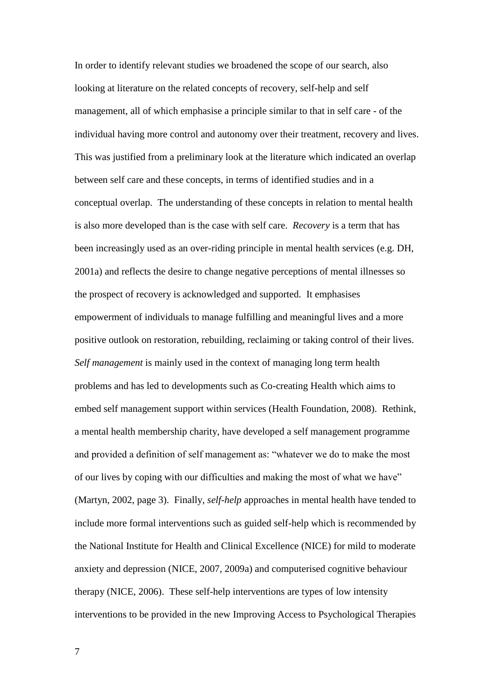In order to identify relevant studies we broadened the scope of our search, also looking at literature on the related concepts of recovery, self-help and self management, all of which emphasise a principle similar to that in self care - of the individual having more control and autonomy over their treatment, recovery and lives. This was justified from a preliminary look at the literature which indicated an overlap between self care and these concepts, in terms of identified studies and in a conceptual overlap. The understanding of these concepts in relation to mental health is also more developed than is the case with self care. *Recovery* is a term that has been increasingly used as an over-riding principle in mental health services (e.g. DH, 2001a) and reflects the desire to change negative perceptions of mental illnesses so the prospect of recovery is acknowledged and supported. It emphasises empowerment of individuals to manage fulfilling and meaningful lives and a more positive outlook on restoration, rebuilding, reclaiming or taking control of their lives. *Self management* is mainly used in the context of managing long term health problems and has led to developments such as Co-creating Health which aims to embed self management support within services (Health Foundation, 2008). Rethink, a mental health membership charity, have developed a self management programme and provided a definition of self management as: "whatever we do to make the most of our lives by coping with our difficulties and making the most of what we have" (Martyn, 2002, page 3). Finally, *self-help* approaches in mental health have tended to include more formal interventions such as guided self-help which is recommended by the National Institute for Health and Clinical Excellence (NICE) for mild to moderate anxiety and depression (NICE, 2007, 2009a) and computerised cognitive behaviour therapy (NICE, 2006). These self-help interventions are types of low intensity interventions to be provided in the new Improving Access to Psychological Therapies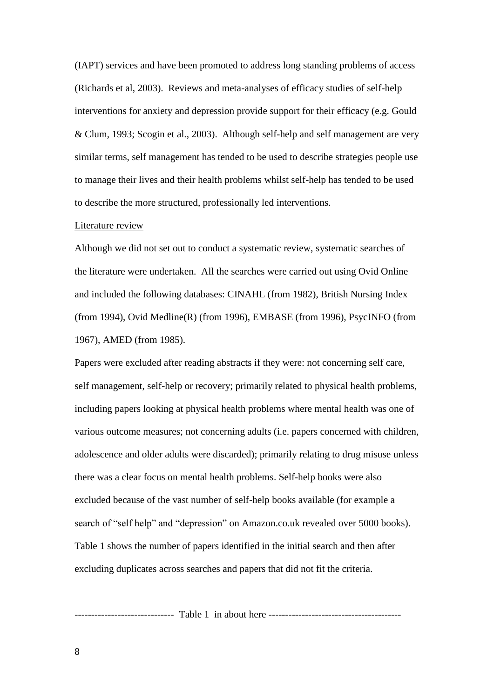(IAPT) services and have been promoted to address long standing problems of access (Richards et al, 2003). Reviews and meta-analyses of efficacy studies of self-help interventions for anxiety and depression provide support for their efficacy (e.g. Gould & Clum, 1993; Scogin et al., 2003). Although self-help and self management are very similar terms, self management has tended to be used to describe strategies people use to manage their lives and their health problems whilst self-help has tended to be used to describe the more structured, professionally led interventions.

#### Literature review

Although we did not set out to conduct a systematic review, systematic searches of the literature were undertaken. All the searches were carried out using Ovid Online and included the following databases: CINAHL (from 1982), British Nursing Index (from 1994), Ovid Medline(R) (from 1996), EMBASE (from 1996), PsycINFO (from 1967), AMED (from 1985).

Papers were excluded after reading abstracts if they were: not concerning self care, self management, self-help or recovery; primarily related to physical health problems, including papers looking at physical health problems where mental health was one of various outcome measures; not concerning adults (i.e. papers concerned with children, adolescence and older adults were discarded); primarily relating to drug misuse unless there was a clear focus on mental health problems. Self-help books were also excluded because of the vast number of self-help books available (for example a search of "self help" and "depression" on Amazon.co.uk revealed over 5000 books). Table 1 shows the number of papers identified in the initial search and then after excluding duplicates across searches and papers that did not fit the criteria.

------------------------------ Table 1 in about here ----------------------------------------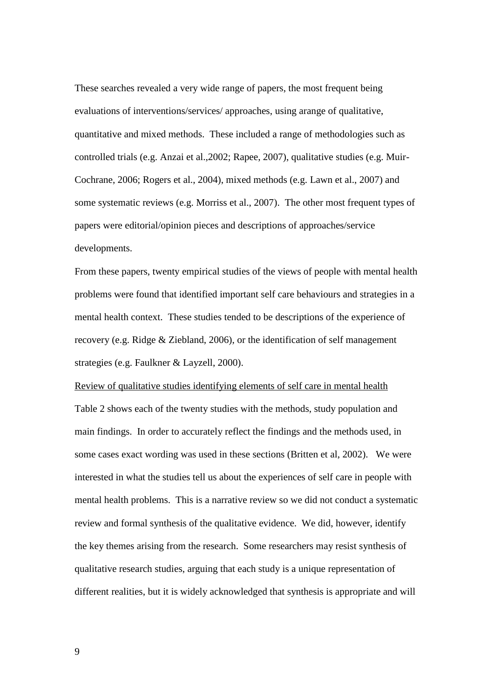These searches revealed a very wide range of papers, the most frequent being evaluations of interventions/services/ approaches, using arange of qualitative, quantitative and mixed methods. These included a range of methodologies such as controlled trials (e.g. Anzai et al.,2002; Rapee, 2007), qualitative studies (e.g. Muir-Cochrane, 2006; Rogers et al., 2004), mixed methods (e.g. Lawn et al., 2007) and some systematic reviews (e.g. Morriss et al., 2007). The other most frequent types of papers were editorial/opinion pieces and descriptions of approaches/service developments.

From these papers, twenty empirical studies of the views of people with mental health problems were found that identified important self care behaviours and strategies in a mental health context. These studies tended to be descriptions of the experience of recovery (e.g. Ridge & Ziebland, 2006), or the identification of self management strategies (e.g. Faulkner & Layzell, 2000).

Review of qualitative studies identifying elements of self care in mental health Table 2 shows each of the twenty studies with the methods, study population and main findings. In order to accurately reflect the findings and the methods used, in some cases exact wording was used in these sections (Britten et al, 2002). We were interested in what the studies tell us about the experiences of self care in people with mental health problems. This is a narrative review so we did not conduct a systematic review and formal synthesis of the qualitative evidence. We did, however, identify the key themes arising from the research. Some researchers may resist synthesis of qualitative research studies, arguing that each study is a unique representation of different realities, but it is widely acknowledged that synthesis is appropriate and will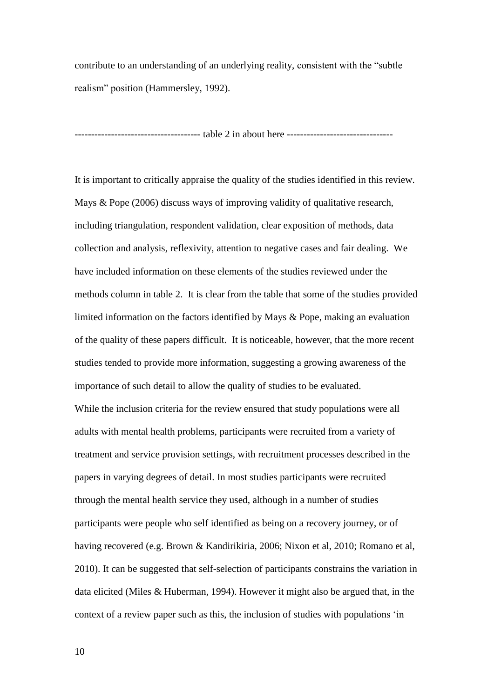contribute to an understanding of an underlying reality, consistent with the "subtle realism" position (Hammersley, 1992).

-------------------------------------- table 2 in about here --------------------------------

It is important to critically appraise the quality of the studies identified in this review. Mays & Pope (2006) discuss ways of improving validity of qualitative research, including triangulation, respondent validation, clear exposition of methods, data collection and analysis, reflexivity, attention to negative cases and fair dealing. We have included information on these elements of the studies reviewed under the methods column in table 2. It is clear from the table that some of the studies provided limited information on the factors identified by Mays & Pope, making an evaluation of the quality of these papers difficult. It is noticeable, however, that the more recent studies tended to provide more information, suggesting a growing awareness of the importance of such detail to allow the quality of studies to be evaluated. While the inclusion criteria for the review ensured that study populations were all adults with mental health problems, participants were recruited from a variety of treatment and service provision settings, with recruitment processes described in the papers in varying degrees of detail. In most studies participants were recruited through the mental health service they used, although in a number of studies participants were people who self identified as being on a recovery journey, or of having recovered (e.g. Brown & Kandirikiria, 2006; Nixon et al, 2010; Romano et al, 2010). It can be suggested that self-selection of participants constrains the variation in data elicited (Miles & Huberman, 1994). However it might also be argued that, in the context of a review paper such as this, the inclusion of studies with populations 'in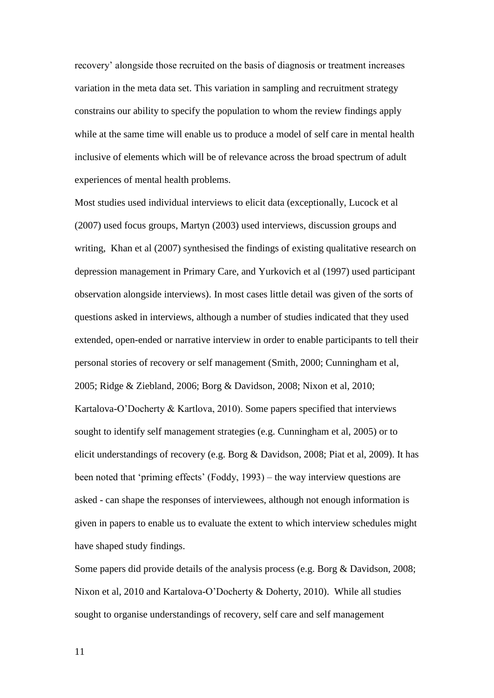recovery' alongside those recruited on the basis of diagnosis or treatment increases variation in the meta data set. This variation in sampling and recruitment strategy constrains our ability to specify the population to whom the review findings apply while at the same time will enable us to produce a model of self care in mental health inclusive of elements which will be of relevance across the broad spectrum of adult experiences of mental health problems.

Most studies used individual interviews to elicit data (exceptionally, Lucock et al (2007) used focus groups, Martyn (2003) used interviews, discussion groups and writing, Khan et al (2007) synthesised the findings of existing qualitative research on depression management in Primary Care, and Yurkovich et al (1997) used participant observation alongside interviews). In most cases little detail was given of the sorts of questions asked in interviews, although a number of studies indicated that they used extended, open-ended or narrative interview in order to enable participants to tell their personal stories of recovery or self management (Smith, 2000; Cunningham et al, 2005; Ridge & Ziebland, 2006; Borg & Davidson, 2008; Nixon et al, 2010; Kartalova-O'Docherty & Kartlova, 2010). Some papers specified that interviews sought to identify self management strategies (e.g. Cunningham et al, 2005) or to elicit understandings of recovery (e.g. Borg & Davidson, 2008; Piat et al, 2009). It has been noted that 'priming effects' (Foddy, 1993) – the way interview questions are asked - can shape the responses of interviewees, although not enough information is given in papers to enable us to evaluate the extent to which interview schedules might have shaped study findings.

Some papers did provide details of the analysis process (e.g. Borg & Davidson, 2008; Nixon et al, 2010 and Kartalova-O'Docherty & Doherty, 2010). While all studies sought to organise understandings of recovery, self care and self management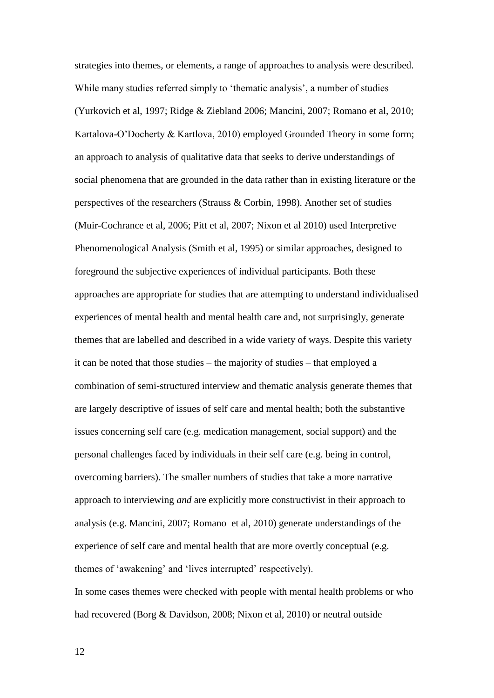strategies into themes, or elements, a range of approaches to analysis were described. While many studies referred simply to 'thematic analysis', a number of studies (Yurkovich et al, 1997; Ridge & Ziebland 2006; Mancini, 2007; Romano et al, 2010; Kartalova-O'Docherty & Kartlova, 2010) employed Grounded Theory in some form; an approach to analysis of qualitative data that seeks to derive understandings of social phenomena that are grounded in the data rather than in existing literature or the perspectives of the researchers (Strauss & Corbin, 1998). Another set of studies (Muir-Cochrance et al, 2006; Pitt et al, 2007; Nixon et al 2010) used Interpretive Phenomenological Analysis (Smith et al, 1995) or similar approaches, designed to foreground the subjective experiences of individual participants. Both these approaches are appropriate for studies that are attempting to understand individualised experiences of mental health and mental health care and, not surprisingly, generate themes that are labelled and described in a wide variety of ways. Despite this variety it can be noted that those studies – the majority of studies – that employed a combination of semi-structured interview and thematic analysis generate themes that are largely descriptive of issues of self care and mental health; both the substantive issues concerning self care (e.g. medication management, social support) and the personal challenges faced by individuals in their self care (e.g. being in control, overcoming barriers). The smaller numbers of studies that take a more narrative approach to interviewing *and* are explicitly more constructivist in their approach to analysis (e.g. Mancini, 2007; Romano et al, 2010) generate understandings of the experience of self care and mental health that are more overtly conceptual (e.g. themes of 'awakening' and 'lives interrupted' respectively).

In some cases themes were checked with people with mental health problems or who had recovered (Borg & Davidson, 2008; Nixon et al, 2010) or neutral outside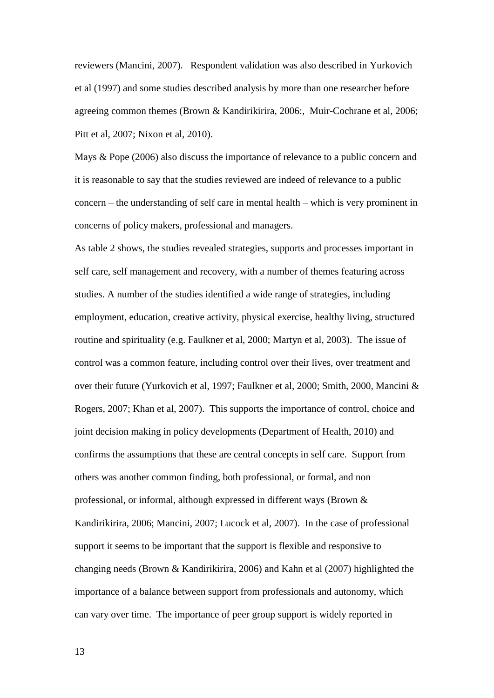reviewers (Mancini, 2007). Respondent validation was also described in Yurkovich et al (1997) and some studies described analysis by more than one researcher before agreeing common themes (Brown & Kandirikirira, 2006:, Muir-Cochrane et al, 2006; Pitt et al, 2007; Nixon et al, 2010).

Mays & Pope (2006) also discuss the importance of relevance to a public concern and it is reasonable to say that the studies reviewed are indeed of relevance to a public concern – the understanding of self care in mental health – which is very prominent in concerns of policy makers, professional and managers.

As table 2 shows, the studies revealed strategies, supports and processes important in self care, self management and recovery, with a number of themes featuring across studies. A number of the studies identified a wide range of strategies, including employment, education, creative activity, physical exercise, healthy living, structured routine and spirituality (e.g. Faulkner et al, 2000; Martyn et al, 2003). The issue of control was a common feature, including control over their lives, over treatment and over their future (Yurkovich et al, 1997; Faulkner et al, 2000; Smith, 2000, Mancini & Rogers, 2007; Khan et al, 2007). This supports the importance of control, choice and joint decision making in policy developments (Department of Health, 2010) and confirms the assumptions that these are central concepts in self care. Support from others was another common finding, both professional, or formal, and non professional, or informal, although expressed in different ways (Brown & Kandirikirira, 2006; Mancini, 2007; Lucock et al, 2007). In the case of professional support it seems to be important that the support is flexible and responsive to changing needs (Brown & Kandirikirira, 2006) and Kahn et al (2007) highlighted the importance of a balance between support from professionals and autonomy, which can vary over time. The importance of peer group support is widely reported in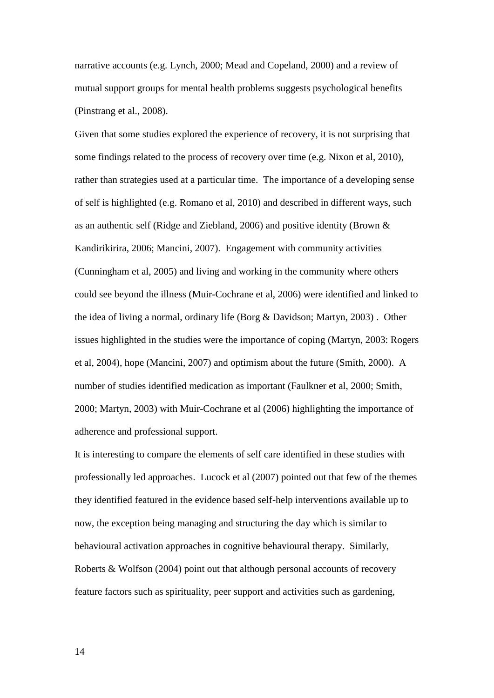narrative accounts (e.g. Lynch, 2000; Mead and Copeland, 2000) and a review of mutual support groups for mental health problems suggests psychological benefits (Pinstrang et al., 2008).

Given that some studies explored the experience of recovery, it is not surprising that some findings related to the process of recovery over time (e.g. Nixon et al, 2010), rather than strategies used at a particular time. The importance of a developing sense of self is highlighted (e.g. Romano et al, 2010) and described in different ways, such as an authentic self (Ridge and Ziebland, 2006) and positive identity (Brown & Kandirikirira, 2006; Mancini, 2007). Engagement with community activities (Cunningham et al, 2005) and living and working in the community where others could see beyond the illness (Muir-Cochrane et al, 2006) were identified and linked to the idea of living a normal, ordinary life (Borg & Davidson; Martyn, 2003) . Other issues highlighted in the studies were the importance of coping (Martyn, 2003: Rogers et al, 2004), hope (Mancini, 2007) and optimism about the future (Smith, 2000). A number of studies identified medication as important (Faulkner et al, 2000; Smith, 2000; Martyn, 2003) with Muir-Cochrane et al (2006) highlighting the importance of adherence and professional support.

It is interesting to compare the elements of self care identified in these studies with professionally led approaches. Lucock et al (2007) pointed out that few of the themes they identified featured in the evidence based self-help interventions available up to now, the exception being managing and structuring the day which is similar to behavioural activation approaches in cognitive behavioural therapy. Similarly, Roberts & Wolfson (2004) point out that although personal accounts of recovery feature factors such as spirituality, peer support and activities such as gardening,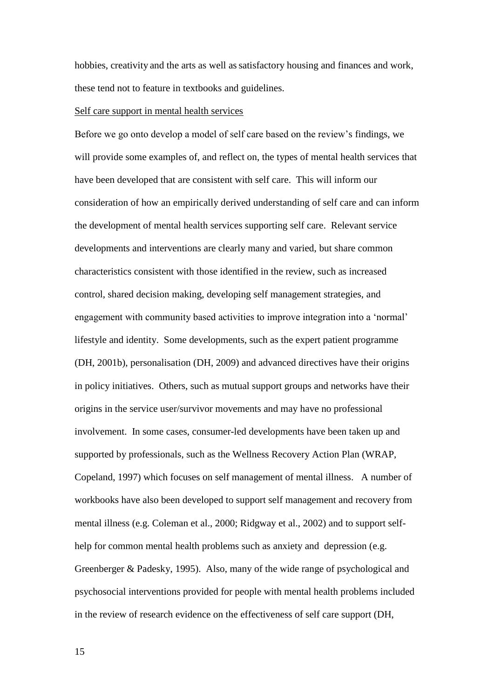hobbies, creativity and the arts as well as satisfactory housing and finances and work, these tend not to feature in textbooks and guidelines.

#### Self care support in mental health services

Before we go onto develop a model of self care based on the review's findings, we will provide some examples of, and reflect on, the types of mental health services that have been developed that are consistent with self care. This will inform our consideration of how an empirically derived understanding of self care and can inform the development of mental health services supporting self care. Relevant service developments and interventions are clearly many and varied, but share common characteristics consistent with those identified in the review, such as increased control, shared decision making, developing self management strategies, and engagement with community based activities to improve integration into a 'normal' lifestyle and identity. Some developments, such as the expert patient programme (DH, 2001b), personalisation (DH, 2009) and advanced directives have their origins in policy initiatives. Others, such as mutual support groups and networks have their origins in the service user/survivor movements and may have no professional involvement. In some cases, consumer-led developments have been taken up and supported by professionals, such as the Wellness Recovery Action Plan (WRAP, Copeland, 1997) which focuses on self management of mental illness. A number of workbooks have also been developed to support self management and recovery from mental illness (e.g. Coleman et al., 2000; Ridgway et al., 2002) and to support selfhelp for common mental health problems such as anxiety and depression (e.g. Greenberger & Padesky, 1995). Also, many of the wide range of psychological and psychosocial interventions provided for people with mental health problems included in the review of research evidence on the effectiveness of self care support (DH,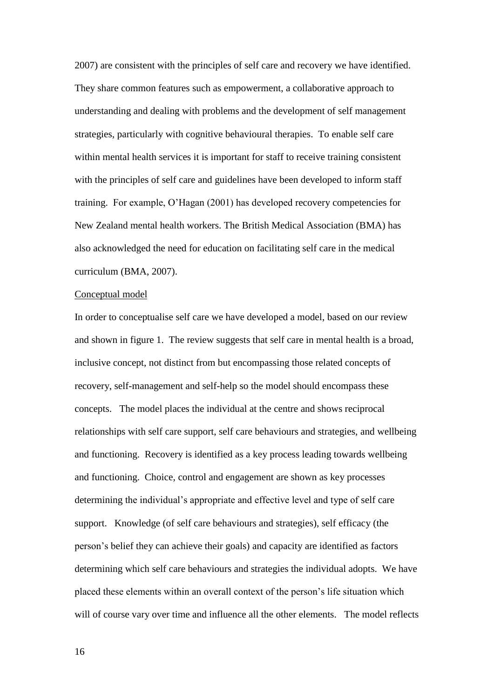2007) are consistent with the principles of self care and recovery we have identified. They share common features such as empowerment, a collaborative approach to understanding and dealing with problems and the development of self management strategies, particularly with cognitive behavioural therapies. To enable self care within mental health services it is important for staff to receive training consistent with the principles of self care and guidelines have been developed to inform staff training. For example, O'Hagan (2001) has developed recovery competencies for New Zealand mental health workers. The British Medical Association (BMA) has also acknowledged the need for education on facilitating self care in the medical curriculum (BMA, 2007).

## Conceptual model

In order to conceptualise self care we have developed a model, based on our review and shown in figure 1. The review suggests that self care in mental health is a broad, inclusive concept, not distinct from but encompassing those related concepts of recovery, self-management and self-help so the model should encompass these concepts. The model places the individual at the centre and shows reciprocal relationships with self care support, self care behaviours and strategies, and wellbeing and functioning. Recovery is identified as a key process leading towards wellbeing and functioning. Choice, control and engagement are shown as key processes determining the individual's appropriate and effective level and type of self care support. Knowledge (of self care behaviours and strategies), self efficacy (the person's belief they can achieve their goals) and capacity are identified as factors determining which self care behaviours and strategies the individual adopts. We have placed these elements within an overall context of the person's life situation which will of course vary over time and influence all the other elements. The model reflects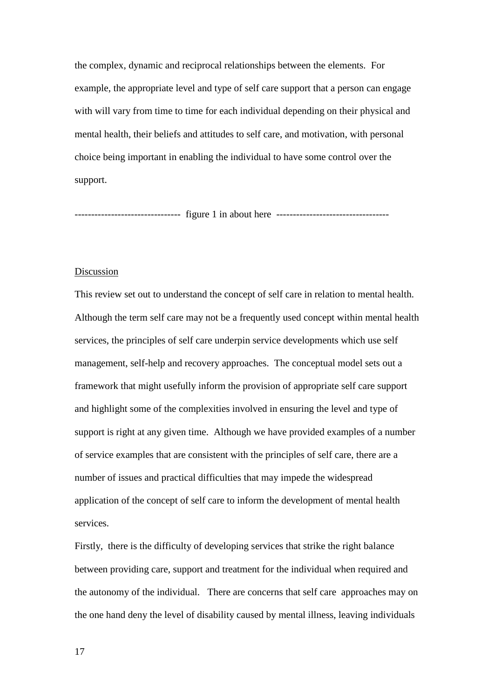the complex, dynamic and reciprocal relationships between the elements. For example, the appropriate level and type of self care support that a person can engage with will vary from time to time for each individual depending on their physical and mental health, their beliefs and attitudes to self care, and motivation, with personal choice being important in enabling the individual to have some control over the support.

-------------------------------- figure 1 in about here ----------------------------------

## Discussion

This review set out to understand the concept of self care in relation to mental health. Although the term self care may not be a frequently used concept within mental health services, the principles of self care underpin service developments which use self management, self-help and recovery approaches. The conceptual model sets out a framework that might usefully inform the provision of appropriate self care support and highlight some of the complexities involved in ensuring the level and type of support is right at any given time. Although we have provided examples of a number of service examples that are consistent with the principles of self care, there are a number of issues and practical difficulties that may impede the widespread application of the concept of self care to inform the development of mental health services.

Firstly, there is the difficulty of developing services that strike the right balance between providing care, support and treatment for the individual when required and the autonomy of the individual. There are concerns that self care approaches may on the one hand deny the level of disability caused by mental illness, leaving individuals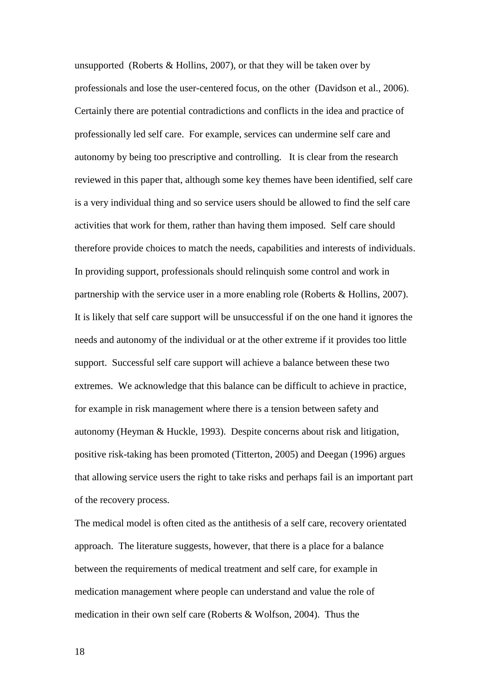unsupported (Roberts  $&$  Hollins, 2007), or that they will be taken over by professionals and lose the user-centered focus, on the other (Davidson et al., 2006). Certainly there are potential contradictions and conflicts in the idea and practice of professionally led self care. For example, services can undermine self care and autonomy by being too prescriptive and controlling. It is clear from the research reviewed in this paper that, although some key themes have been identified, self care is a very individual thing and so service users should be allowed to find the self care activities that work for them, rather than having them imposed. Self care should therefore provide choices to match the needs, capabilities and interests of individuals. In providing support, professionals should relinquish some control and work in partnership with the service user in a more enabling role (Roberts & Hollins, 2007). It is likely that self care support will be unsuccessful if on the one hand it ignores the needs and autonomy of the individual or at the other extreme if it provides too little support. Successful self care support will achieve a balance between these two extremes. We acknowledge that this balance can be difficult to achieve in practice, for example in risk management where there is a tension between safety and autonomy (Heyman & Huckle, 1993). Despite concerns about risk and litigation, positive risk-taking has been promoted (Titterton, 2005) and Deegan (1996) argues that allowing service users the right to take risks and perhaps fail is an important part of the recovery process.

The medical model is often cited as the antithesis of a self care, recovery orientated approach. The literature suggests, however, that there is a place for a balance between the requirements of medical treatment and self care, for example in medication management where people can understand and value the role of medication in their own self care (Roberts & Wolfson, 2004). Thus the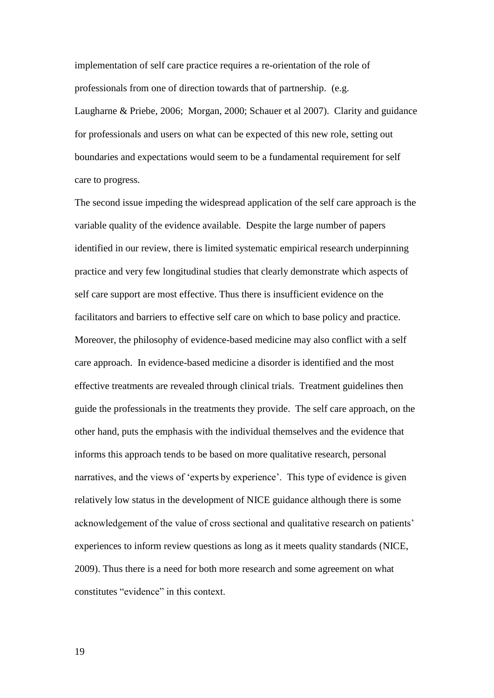implementation of self care practice requires a re-orientation of the role of professionals from one of direction towards that of partnership. (e.g. Laugharne & Priebe, 2006; Morgan, 2000; Schauer et al 2007). Clarity and guidance for professionals and users on what can be expected of this new role, setting out boundaries and expectations would seem to be a fundamental requirement for self care to progress.

The second issue impeding the widespread application of the self care approach is the variable quality of the evidence available. Despite the large number of papers identified in our review, there is limited systematic empirical research underpinning practice and very few longitudinal studies that clearly demonstrate which aspects of self care support are most effective. Thus there is insufficient evidence on the facilitators and barriers to effective self care on which to base policy and practice. Moreover, the philosophy of evidence-based medicine may also conflict with a self care approach. In evidence-based medicine a disorder is identified and the most effective treatments are revealed through clinical trials. Treatment guidelines then guide the professionals in the treatments they provide. The self care approach, on the other hand, puts the emphasis with the individual themselves and the evidence that informs this approach tends to be based on more qualitative research, personal narratives, and the views of 'experts by experience'. This type of evidence is given relatively low status in the development of NICE guidance although there is some acknowledgement of the value of cross sectional and qualitative research on patients' experiences to inform review questions as long as it meets quality standards (NICE, 2009). Thus there is a need for both more research and some agreement on what constitutes "evidence" in this context.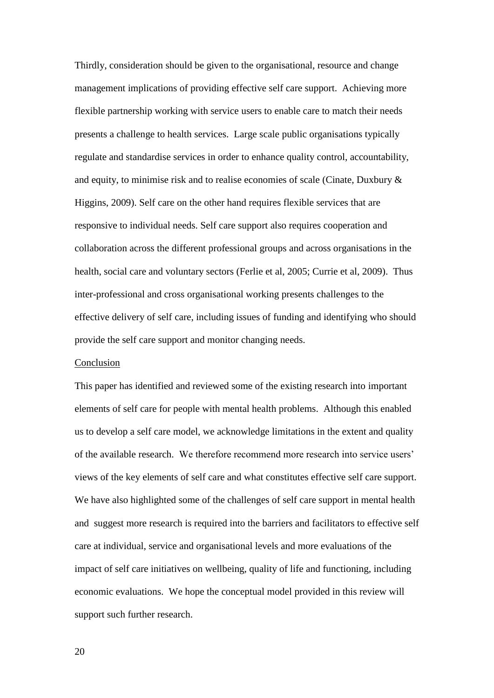Thirdly, consideration should be given to the organisational, resource and change management implications of providing effective self care support. Achieving more flexible partnership working with service users to enable care to match their needs presents a challenge to health services. Large scale public organisations typically regulate and standardise services in order to enhance quality control, accountability, and equity, to minimise risk and to realise economies of scale (Cinate, Duxbury & Higgins, 2009). Self care on the other hand requires flexible services that are responsive to individual needs. Self care support also requires cooperation and collaboration across the different professional groups and across organisations in the health, social care and voluntary sectors (Ferlie et al, 2005; Currie et al, 2009). Thus inter-professional and cross organisational working presents challenges to the effective delivery of self care, including issues of funding and identifying who should provide the self care support and monitor changing needs.

#### Conclusion

This paper has identified and reviewed some of the existing research into important elements of self care for people with mental health problems. Although this enabled us to develop a self care model, we acknowledge limitations in the extent and quality of the available research. We therefore recommend more research into service users' views of the key elements of self care and what constitutes effective self care support. We have also highlighted some of the challenges of self care support in mental health and suggest more research is required into the barriers and facilitators to effective self care at individual, service and organisational levels and more evaluations of the impact of self care initiatives on wellbeing, quality of life and functioning, including economic evaluations. We hope the conceptual model provided in this review will support such further research.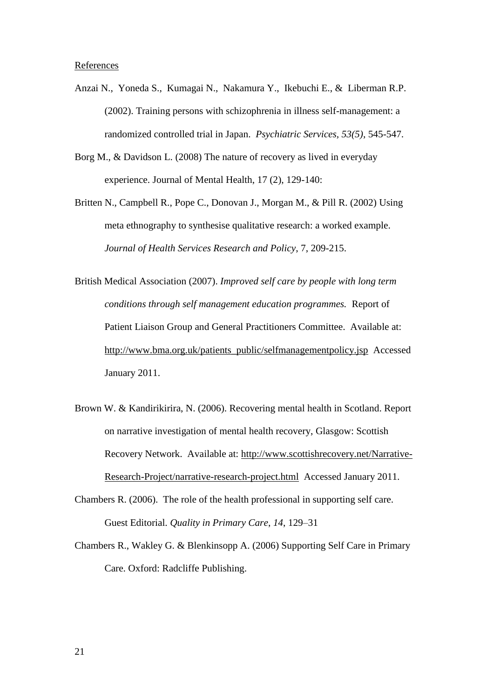#### References

- Anzai N., Yoneda S., Kumagai N., Nakamura Y., Ikebuchi E., & Liberman R.P. (2002). Training persons with schizophrenia in illness self-management: a randomized controlled trial in Japan. *Psychiatric Services, 53(5)*, 545-547.
- Borg M., & Davidson L. (2008) The nature of recovery as lived in everyday experience. Journal of Mental Health, 17 (2), 129-140:
- Britten N., Campbell R., Pope C., Donovan J., Morgan M., & Pill R. (2002) Using meta ethnography to synthesise qualitative research: a worked example. *Journal of Health Services Research and Policy*, 7, 209-215.
- British Medical Association (2007). *Improved self care by people with long term conditions through self management education programmes.* Report of Patient Liaison Group and General Practitioners Committee. Available at: [http://www.bma.org.uk/patients\\_public/selfmanagementpolicy.jsp](http://www.bma.org.uk/patients_public/selfmanagementpolicy.jsp) Accessed January 2011.
- Brown W. & Kandirikirira, N. (2006). Recovering mental health in Scotland. Report on narrative investigation of mental health recovery, Glasgow: Scottish Recovery Network. Available at: [http://www.scottishrecovery.net/Narrative-](http://www.scottishrecovery.net/Narrative-Research-Project/narrative-research-project.html)[Research-Project/narrative-research-project.html](http://www.scottishrecovery.net/Narrative-Research-Project/narrative-research-project.html) Accessed January 2011.
- Chambers R. (2006). The role of the health professional in supporting self care. Guest Editorial. *Quality in Primary Care*, *14*, 129–31
- Chambers R., Wakley G. & Blenkinsopp A. (2006) Supporting Self Care in Primary Care. Oxford: Radcliffe Publishing.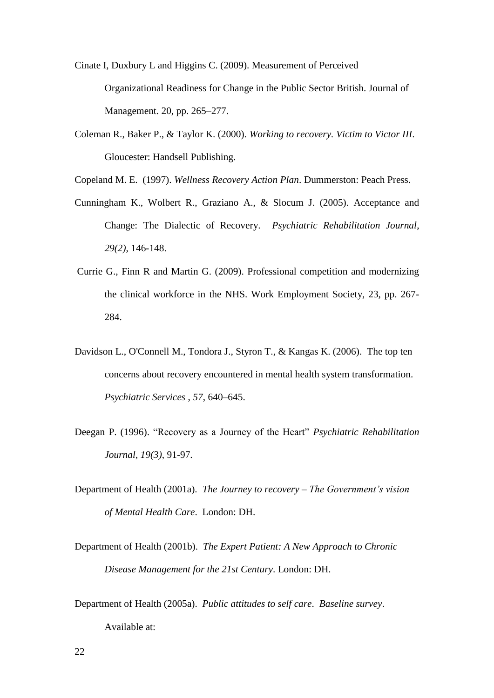Cinate I, Duxbury L and Higgins C. (2009). Measurement of Perceived Organizational Readiness for Change in the Public Sector British. Journal of Management. 20, pp. 265–277.

- Coleman R., Baker P., & Taylor K. (2000). *Working to recovery. Victim to Victor III*. Gloucester: Handsell Publishing.
- Copeland M. E. (1997). *Wellness Recovery Action Plan*. Dummerston: Peach Press.
- Cunningham K., Wolbert R., Graziano A., & Slocum J. (2005). Acceptance and Change: The Dialectic of Recovery. *Psychiatric Rehabilitation Journal*, *29(2)*, 146-148.
- Currie G., Finn R and Martin G. (2009). Professional competition and modernizing the clinical workforce in the NHS. Work Employment Society, 23, pp. 267- 284.
- Davidson L., O'Connell M., Tondora J., Styron T., & Kangas K. (2006). The top ten concerns about recovery encountered in mental health system transformation. *Psychiatric Services* , *57*, 640–645.
- Deegan P. (1996). "Recovery as a Journey of the Heart" *Psychiatric Rehabilitation Journal*, *19(3)*, 91-97.
- Department of Health (2001a). *The Journey to recovery – The Government's vision of Mental Health Care*. London: DH.
- Department of Health (2001b). *The Expert Patient: A New Approach to Chronic Disease Management for the 21st Century*. London: DH.
- Department of Health (2005a). *Public attitudes to self care*. *Baseline survey*. Available at: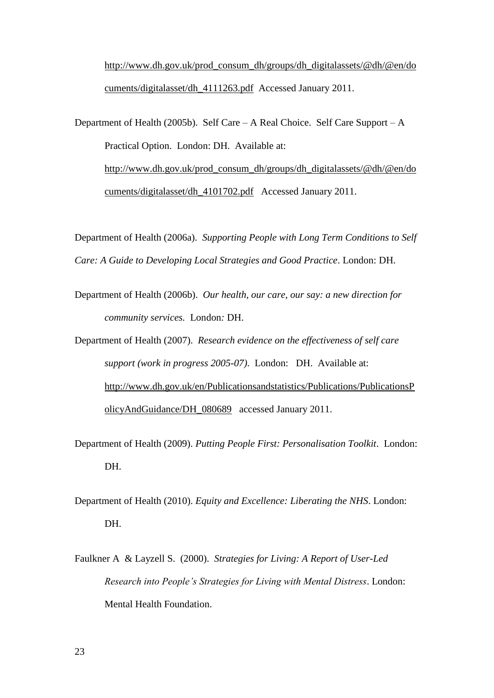[http://www.dh.gov.uk/prod\\_consum\\_dh/groups/dh\\_digitalassets/@dh/@en/do](http://www.dh.gov.uk/prod_consum_dh/groups/dh_digitalassets/@dh/@en/documents/digitalasset/dh_4111263.pdf) [cuments/digitalasset/dh\\_4111263.pdf](http://www.dh.gov.uk/prod_consum_dh/groups/dh_digitalassets/@dh/@en/documents/digitalasset/dh_4111263.pdf) Accessed January 2011.

Department of Health (2005b). Self Care – A Real Choice. Self Care Support – A Practical Option. London: DH. Available at: [http://www.dh.gov.uk/prod\\_consum\\_dh/groups/dh\\_digitalassets/@dh/@en/do](http://www.dh.gov.uk/prod_consum_dh/groups/dh_digitalassets/@dh/@en/documents/digitalasset/dh_4101702.pdf) [cuments/digitalasset/dh\\_4101702.pdf](http://www.dh.gov.uk/prod_consum_dh/groups/dh_digitalassets/@dh/@en/documents/digitalasset/dh_4101702.pdf) Accessed January 2011.

Department of Health (2006a). *Supporting People with Long Term Conditions to Self Care: A Guide to Developing Local Strategies and Good Practice*. London: DH.

Department of Health (2006b). *Our health, our care, our say: a new direction for community services.* London*:* DH.

Department of Health (2007). *Research evidence on the effectiveness of self care support (work in progress 2005-07)*. London: DH. Available at: [http://www.dh.gov.uk/en/Publicationsandstatistics/Publications/PublicationsP](http://www.dh.gov.uk/en/Publicationsandstatistics/Publications/PublicationsPolicyAndGuidance/DH_080689) [olicyAndGuidance/DH\\_080689](http://www.dh.gov.uk/en/Publicationsandstatistics/Publications/PublicationsPolicyAndGuidance/DH_080689) accessed January 2011.

- Department of Health (2009). *Putting People First: Personalisation Toolkit*. London: DH.
- Department of Health (2010). *Equity and Excellence: Liberating the NHS*. London: DH.
- Faulkner A & Layzell S. (2000). *Strategies for Living: A Report of User-Led Research into People's Strategies for Living with Mental Distress*. London: Mental Health Foundation.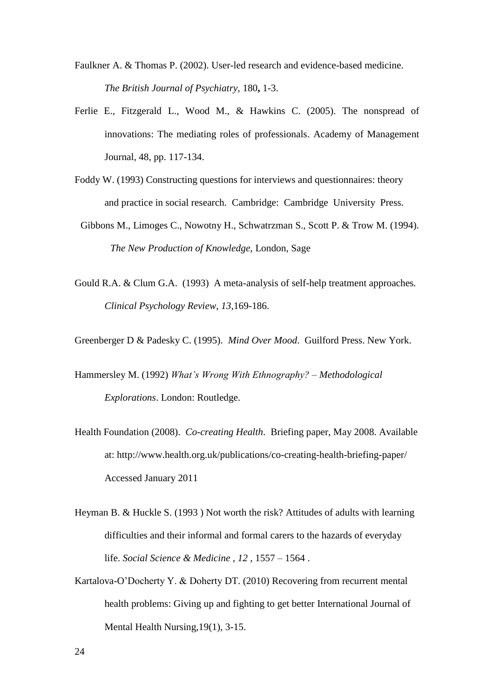- Faulkner A. & Thomas P. (2002). User-led research and evidence-based medicine. *The British Journal of Psychiatry,* 180**,** 1-3.
- Ferlie E., Fitzgerald L., Wood M., & Hawkins C. (2005). The nonspread of innovations: The mediating roles of professionals. Academy of Management Journal, 48, pp. 117-134.
- Foddy W. (1993) Constructing questions for interviews and questionnaires: theory and practice in social research. Cambridge: Cambridge University Press.
- Gibbons M., Limoges C., Nowotny H., Schwatrzman S., Scott P. & Trow M. (1994). *The New Production of Knowledge,* London, Sage
- Gould R.A. & Clum G.A. (1993) A meta-analysis of self-help treatment approaches*. Clinical Psychology Review*, *13*,169-186.
- Greenberger D & Padesky C. (1995). *Mind Over Mood*. Guilford Press. New York.
- Hammersley M. (1992) *What's Wrong With Ethnography? – Methodological Explorations*. London: Routledge.
- Health Foundation (2008). *Co-creating Health*. Briefing paper, May 2008. Available at: http://www.health.org.uk/publications/co-creating-health-briefing-paper/ Accessed January 2011
- Heyman B. & Huckle S. (1993 ) Not worth the risk? Attitudes of adults with learning difficulties and their informal and formal carers to the hazards of everyday life. *Social Science & Medicine* , *12* , 1557 – 1564 .
- Kartalova-O'Docherty Y. & Doherty DT. (2010) Recovering from recurrent mental health problems: Giving up and fighting to get better International Journal of Mental Health Nursing,19(1), 3-15.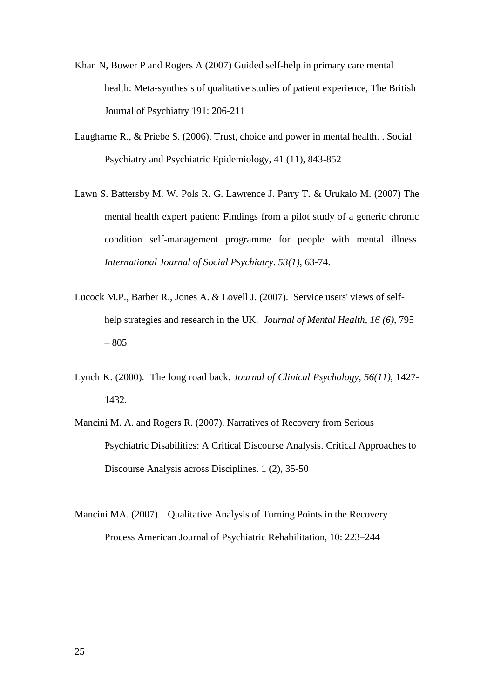- Khan N, Bower P and Rogers A (2007) Guided self-help in primary care mental health: Meta-synthesis of qualitative studies of patient experience, The British Journal of Psychiatry 191: 206-211
- Laugharne R., & Priebe S. (2006). Trust, choice and power in mental health. . Social Psychiatry and Psychiatric Epidemiology, 41 (11), 843-852
- Lawn S. Battersby M. W. Pols R. G. Lawrence J. Parry T. & Urukalo M. (2007) The mental health expert patient: Findings from a pilot study of a generic chronic condition self-management programme for people with mental illness. *International Journal of Social Psychiatry*. *53(1)*, 63-74.
- Lucock M.P., Barber R., Jones A. & Lovell J. (2007). Service users' views of selfhelp strategies and research in the UK. *Journal of Mental Health*, *16 (6)*, 795 – 805
- Lynch K. (2000). The long road back. *Journal of Clinical Psychology*, *56(11)*, 1427- 1432.
- Mancini M. A. and Rogers R. (2007). Narratives of Recovery from Serious Psychiatric Disabilities: A Critical Discourse Analysis. Critical Approaches to Discourse Analysis across Disciplines. 1 (2), 35-50
- Mancini MA. (2007). Qualitative Analysis of Turning Points in the Recovery Process American Journal of Psychiatric Rehabilitation, 10: 223–244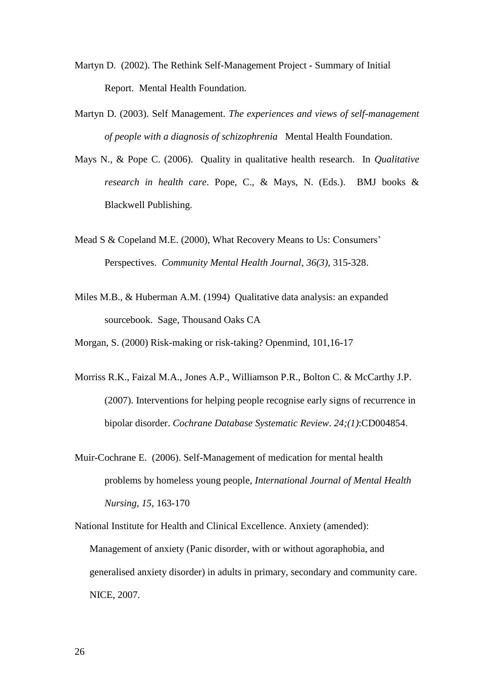- Martyn D. (2002). The Rethink Self-Management Project Summary of Initial Report. Mental Health Foundation.
- Martyn D. (2003). Self Management. *The experiences and views of self-management of people with a diagnosis of schizophrenia* Mental Health Foundation.
- Mays N., & Pope C. (2006). Quality in qualitative health research. In *Qualitative research in health care*. Pope, C., & Mays, N. (Eds.). BMJ books & Blackwell Publishing.
- Mead S & Copeland M.E. (2000), What Recovery Means to Us: Consumers' Perspectives. *Community Mental Health Journal*, *36(3)*, 315-328.
- Miles M.B., & Huberman A.M. (1994) Qualitative data analysis: an expanded sourcebook. Sage, Thousand Oaks CA
- Morgan, S. (2000) Risk-making or risk-taking? Openmind, 101,16-17
- Morriss R.K., Faizal M.A., Jones A.P., Williamson P.R., Bolton C. & McCarthy J.P. (2007). Interventions for helping people recognise early signs of recurrence in bipolar disorder. *Cochrane Database Systematic Review*. *24;(1)*:CD004854.
- Muir-Cochrane E. (2006). Self-Management of medication for mental health problems by homeless young people, *International Journal of Mental Health Nursing*, *15*, 163-170

National Institute for Health and Clinical Excellence. Anxiety (amended): Management of anxiety (Panic disorder, with or without agoraphobia, and generalised anxiety disorder) in adults in primary, secondary and community care. NICE, 2007.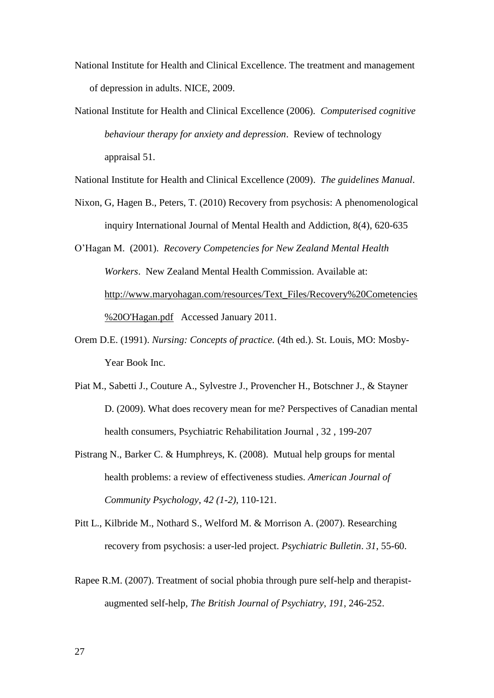- National Institute for Health and Clinical Excellence. The treatment and management of depression in adults. NICE, 2009.
- National Institute for Health and Clinical Excellence (2006). *Computerised cognitive behaviour therapy for anxiety and depression*. Review of technology appraisal 51.

National Institute for Health and Clinical Excellence (2009). *The guidelines Manual*.

- Nixon, G, Hagen B., Peters, T. (2010) Recovery from psychosis: A phenomenological inquiry International Journal of Mental Health and Addiction, 8(4), 620-635
- O'Hagan M. (2001). *Recovery Competencies for New Zealand Mental Health Workers*. New Zealand Mental Health Commission. Available at: [http://www.maryohagan.com/resources/Text\\_Files/Recovery%20Cometencies](http://www.maryohagan.com/resources/Text_Files/Recovery%20Cometencies%20O) [%20O'Hagan.pdf](http://www.maryohagan.com/resources/Text_Files/Recovery%20Cometencies%20O) Accessed January 2011.
- Orem D.E. (1991). *Nursing: Concepts of practice.* (4th ed.). St. Louis, MO: Mosby-Year Book Inc.
- Piat M., Sabetti J., Couture A., Sylvestre J., Provencher H., Botschner J., & Stayner D. (2009). What does recovery mean for me? Perspectives of Canadian mental health consumers, Psychiatric Rehabilitation Journal , 32 , 199-207
- Pistrang N., Barker C. & Humphreys, K. (2008). Mutual help groups for mental health problems: a review of effectiveness studies. *American Journal of Community Psychology*, *42 (1-2)*, 110-121.
- Pitt L., Kilbride M., Nothard S., Welford M. & Morrison A. (2007). Researching recovery from psychosis: a user-led project. *Psychiatric Bulletin*. *31*, 55-60.
- Rapee R.M. (2007). Treatment of social phobia through pure self-help and therapistaugmented self-help*, The British Journal of Psychiatry*, *191*, 246-252.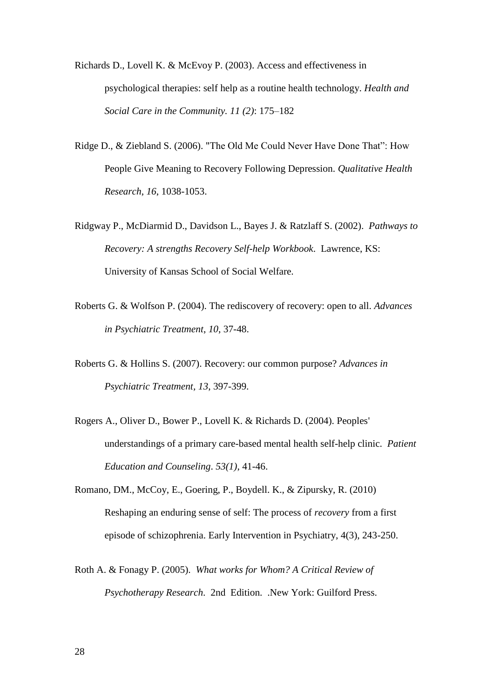Richards D., Lovell K. & McEvoy P. (2003). Access and effectiveness in psychological therapies: self help as a routine health technology. *Health and Social Care in the Community. 11 (2)*: 175–182

- Ridge D., & Ziebland S. (2006). "The Old Me Could Never Have Done That": How People Give Meaning to Recovery Following Depression. *Qualitative Health Research*, *16*, 1038-1053.
- Ridgway P., McDiarmid D., Davidson L., Bayes J. & Ratzlaff S. (2002). *Pathways to Recovery: A strengths Recovery Self-help Workbook*. Lawrence, KS: University of Kansas School of Social Welfare.
- Roberts G. & Wolfson P. (2004). The rediscovery of recovery: open to all. *Advances in Psychiatric Treatment*, *10*, 37-48.
- Roberts G. & Hollins S. (2007). Recovery: our common purpose? *Advances in Psychiatric Treatment, 13*, 397-399.
- Rogers A., Oliver D., Bower P., Lovell K. & Richards D. (2004). Peoples' understandings of a primary care-based mental health self-help clinic. *Patient Education and Counseling*. *53(1)*, 41-46.
- Romano, DM., McCoy, E., Goering, P., Boydell. K., & Zipursky, R. (2010) Reshaping an enduring sense of self: The process of *recovery* from a first episode of schizophrenia. Early Intervention in Psychiatry, 4(3), 243-250.
- Roth A. & Fonagy P. (2005). *What works for Whom? A Critical Review of Psychotherapy Research*. 2nd Edition. .New York: Guilford Press.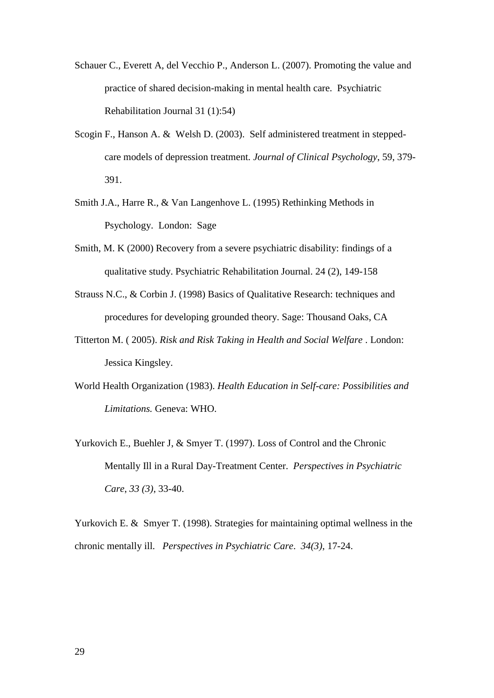- Schauer C., Everett A, del Vecchio P., Anderson L. (2007). Promoting the value and practice of shared decision-making in mental health care. Psychiatric Rehabilitation Journal 31 (1):54)
- Scogin F., Hanson A. & Welsh D. (2003). Self administered treatment in steppedcare models of depression treatment. *Journal of Clinical Psychology*, 59, 379- 391.
- Smith J.A., Harre R., & Van Langenhove L. (1995) Rethinking Methods in Psychology. London: Sage
- Smith, M. K (2000) Recovery from a severe psychiatric disability: findings of a qualitative study. Psychiatric Rehabilitation Journal. 24 (2), 149-158
- Strauss N.C., & Corbin J. (1998) Basics of Qualitative Research: techniques and procedures for developing grounded theory. Sage: Thousand Oaks, CA
- Titterton M. ( 2005). *Risk and Risk Taking in Health and Social Welfare* . London: Jessica Kingsley.
- World Health Organization (1983). *Health Education in Self-care: Possibilities and Limitations.* Geneva: WHO.
- Yurkovich E., Buehler J, & Smyer T. (1997). Loss of Control and the Chronic Mentally Ill in a Rural Day-Treatment Center. *Perspectives in Psychiatric Care*, *33 (3)*, 33-40.

Yurkovich E. & Smyer T. (1998). Strategies for maintaining optimal wellness in the chronic mentally ill. *Perspectives in Psychiatric Care*. *34(3)*, 17-24.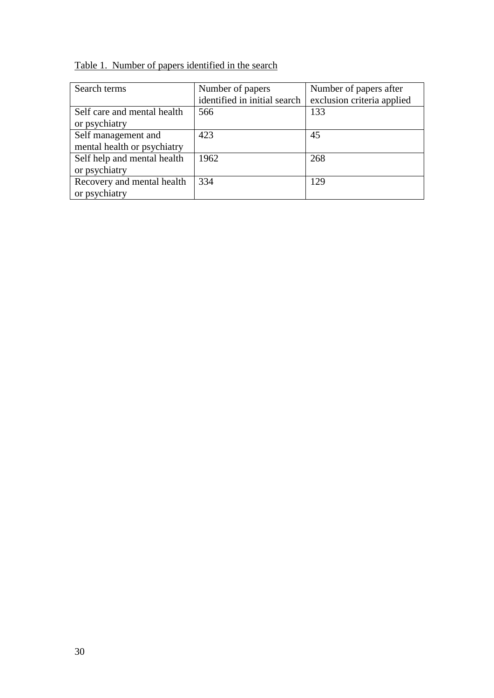Table 1. Number of papers identified in the search

| Search terms                | Number of papers             | Number of papers after     |
|-----------------------------|------------------------------|----------------------------|
|                             | identified in initial search | exclusion criteria applied |
| Self care and mental health | 566                          | 133                        |
| or psychiatry               |                              |                            |
| Self management and         | 423                          | 45                         |
| mental health or psychiatry |                              |                            |
| Self help and mental health | 1962                         | 268                        |
| or psychiatry               |                              |                            |
| Recovery and mental health  | 334                          | 129                        |
| or psychiatry               |                              |                            |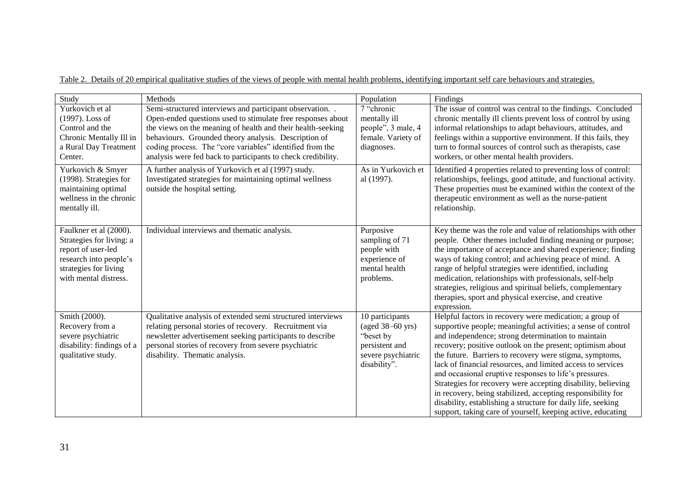Table 2. Details of 20 empirical qualitative studies of the views of people with mental health problems, identifying important self care behaviours and strategies.

| Study                                                                                                                                                | Methods                                                                                                                                                                                                                                                                      | Population                                                                                               | Findings                                                                                                                                                                                                                                                                                                                                                                                                                                                                                                                                                                                                                                                                                     |
|------------------------------------------------------------------------------------------------------------------------------------------------------|------------------------------------------------------------------------------------------------------------------------------------------------------------------------------------------------------------------------------------------------------------------------------|----------------------------------------------------------------------------------------------------------|----------------------------------------------------------------------------------------------------------------------------------------------------------------------------------------------------------------------------------------------------------------------------------------------------------------------------------------------------------------------------------------------------------------------------------------------------------------------------------------------------------------------------------------------------------------------------------------------------------------------------------------------------------------------------------------------|
| Yurkovich et al<br>(1997). Loss of<br>Control and the                                                                                                | Semi-structured interviews and participant observation. .<br>Open-ended questions used to stimulate free responses about<br>the views on the meaning of health and their health-seeking                                                                                      | 7 "chronic<br>mentally ill<br>people", 3 male, 4                                                         | The issue of control was central to the findings. Concluded<br>chronic mentally ill clients prevent loss of control by using<br>informal relationships to adapt behaviours, attitudes, and                                                                                                                                                                                                                                                                                                                                                                                                                                                                                                   |
| Chronic Mentally Ill in<br>a Rural Day Treatment<br>Center.                                                                                          | behaviours. Grounded theory analysis. Description of<br>coding process. The "core variables" identified from the<br>analysis were fed back to participants to check credibility.                                                                                             | female. Variety of<br>diagnoses.                                                                         | feelings within a supportive environment. If this fails, they<br>turn to formal sources of control such as therapists, case<br>workers, or other mental health providers.                                                                                                                                                                                                                                                                                                                                                                                                                                                                                                                    |
| Yurkovich & Smyer<br>(1998). Strategies for<br>maintaining optimal<br>wellness in the chronic<br>mentally ill.                                       | A further analysis of Yurkovich et al (1997) study.<br>Investigated strategies for maintaining optimal wellness<br>outside the hospital setting.                                                                                                                             | As in Yurkovich et<br>al (1997).                                                                         | Identified 4 properties related to preventing loss of control:<br>relationships, feelings, good attitude, and functional activity.<br>These properties must be examined within the context of the<br>therapeutic environment as well as the nurse-patient<br>relationship.                                                                                                                                                                                                                                                                                                                                                                                                                   |
| Faulkner et al (2000).<br>Strategies for living: a<br>report of user-led<br>research into people's<br>strategies for living<br>with mental distress. | Individual interviews and thematic analysis.                                                                                                                                                                                                                                 | Purposive<br>sampling of 71<br>people with<br>experience of<br>mental health<br>problems.                | Key theme was the role and value of relationships with other<br>people. Other themes included finding meaning or purpose;<br>the importance of acceptance and shared experience; finding<br>ways of taking control; and achieving peace of mind. A<br>range of helpful strategies were identified, including<br>medication, relationships with professionals, self-help<br>strategies, religious and spiritual beliefs, complementary<br>therapies, sport and physical exercise, and creative<br>expression.                                                                                                                                                                                 |
| Smith (2000).<br>Recovery from a<br>severe psychiatric<br>disability: findings of a<br>qualitative study.                                            | Qualitative analysis of extended semi structured interviews<br>relating personal stories of recovery. Recruitment via<br>newsletter advertisement seeking participants to describe<br>personal stories of recovery from severe psychiatric<br>disability. Thematic analysis. | 10 participants<br>(aged 38–60 yrs)<br>"beset by<br>persistent and<br>severe psychiatric<br>disability". | Helpful factors in recovery were medication; a group of<br>supportive people; meaningful activities; a sense of control<br>and independence; strong determination to maintain<br>recovery; positive outlook on the present; optimism about<br>the future. Barriers to recovery were stigma, symptoms,<br>lack of financial resources, and limited access to services<br>and occasional eruptive responses to life's pressures.<br>Strategies for recovery were accepting disability, believing<br>in recovery, being stabilized, accepting responsibility for<br>disability, establishing a structure for daily life, seeking<br>support, taking care of yourself, keeping active, educating |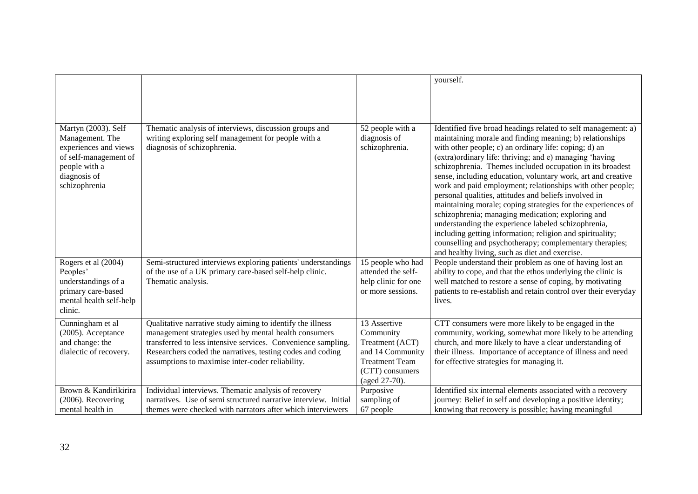|                                                                                                                                            |                                                                                                                                                                                                                                                                                                        |                                                                                                                               | yourself.                                                                                                                                                                                                                                                                                                                                                                                                                                                                                                                                                                                                                                                                                                                                                                                                                                               |
|--------------------------------------------------------------------------------------------------------------------------------------------|--------------------------------------------------------------------------------------------------------------------------------------------------------------------------------------------------------------------------------------------------------------------------------------------------------|-------------------------------------------------------------------------------------------------------------------------------|---------------------------------------------------------------------------------------------------------------------------------------------------------------------------------------------------------------------------------------------------------------------------------------------------------------------------------------------------------------------------------------------------------------------------------------------------------------------------------------------------------------------------------------------------------------------------------------------------------------------------------------------------------------------------------------------------------------------------------------------------------------------------------------------------------------------------------------------------------|
|                                                                                                                                            |                                                                                                                                                                                                                                                                                                        |                                                                                                                               |                                                                                                                                                                                                                                                                                                                                                                                                                                                                                                                                                                                                                                                                                                                                                                                                                                                         |
|                                                                                                                                            |                                                                                                                                                                                                                                                                                                        |                                                                                                                               |                                                                                                                                                                                                                                                                                                                                                                                                                                                                                                                                                                                                                                                                                                                                                                                                                                                         |
| Martyn (2003). Self<br>Management. The<br>experiences and views<br>of self-management of<br>people with a<br>diagnosis of<br>schizophrenia | Thematic analysis of interviews, discussion groups and<br>writing exploring self management for people with a<br>diagnosis of schizophrenia.                                                                                                                                                           | 52 people with a<br>diagnosis of<br>schizophrenia.                                                                            | Identified five broad headings related to self management: a)<br>maintaining morale and finding meaning; b) relationships<br>with other people; c) an ordinary life: coping; d) an<br>(extra)ordinary life: thriving; and e) managing 'having<br>schizophrenia. Themes included occupation in its broadest<br>sense, including education, voluntary work, art and creative<br>work and paid employment; relationships with other people;<br>personal qualities, attitudes and beliefs involved in<br>maintaining morale; coping strategies for the experiences of<br>schizophrenia; managing medication; exploring and<br>understanding the experience labeled schizophrenia,<br>including getting information; religion and spirituality;<br>counselling and psychotherapy; complementary therapies;<br>and healthy living, such as diet and exercise. |
| Rogers et al (2004)<br>Peoples'<br>understandings of a<br>primary care-based<br>mental health self-help<br>clinic.                         | Semi-structured interviews exploring patients' understandings<br>of the use of a UK primary care-based self-help clinic.<br>Thematic analysis.                                                                                                                                                         | 15 people who had<br>attended the self-<br>help clinic for one<br>or more sessions.                                           | People understand their problem as one of having lost an<br>ability to cope, and that the ethos underlying the clinic is<br>well matched to restore a sense of coping, by motivating<br>patients to re-establish and retain control over their everyday<br>lives.                                                                                                                                                                                                                                                                                                                                                                                                                                                                                                                                                                                       |
| Cunningham et al<br>(2005). Acceptance<br>and change: the<br>dialectic of recovery.                                                        | Qualitative narrative study aiming to identify the illness<br>management strategies used by mental health consumers<br>transferred to less intensive services. Convenience sampling.<br>Researchers coded the narratives, testing codes and coding<br>assumptions to maximise inter-coder reliability. | 13 Assertive<br>Community<br>Treatment (ACT)<br>and 14 Community<br><b>Treatment Team</b><br>(CTT) consumers<br>(aged 27-70). | CTT consumers were more likely to be engaged in the<br>community, working, somewhat more likely to be attending<br>church, and more likely to have a clear understanding of<br>their illness. Importance of acceptance of illness and need<br>for effective strategies for managing it.                                                                                                                                                                                                                                                                                                                                                                                                                                                                                                                                                                 |
| Brown & Kandirikirira<br>(2006). Recovering                                                                                                | Individual interviews. Thematic analysis of recovery<br>narratives. Use of semi structured narrative interview. Initial                                                                                                                                                                                | Purposive<br>sampling of                                                                                                      | Identified six internal elements associated with a recovery<br>journey: Belief in self and developing a positive identity;                                                                                                                                                                                                                                                                                                                                                                                                                                                                                                                                                                                                                                                                                                                              |
| mental health in                                                                                                                           | themes were checked with narrators after which interviewers                                                                                                                                                                                                                                            | 67 people                                                                                                                     | knowing that recovery is possible; having meaningful                                                                                                                                                                                                                                                                                                                                                                                                                                                                                                                                                                                                                                                                                                                                                                                                    |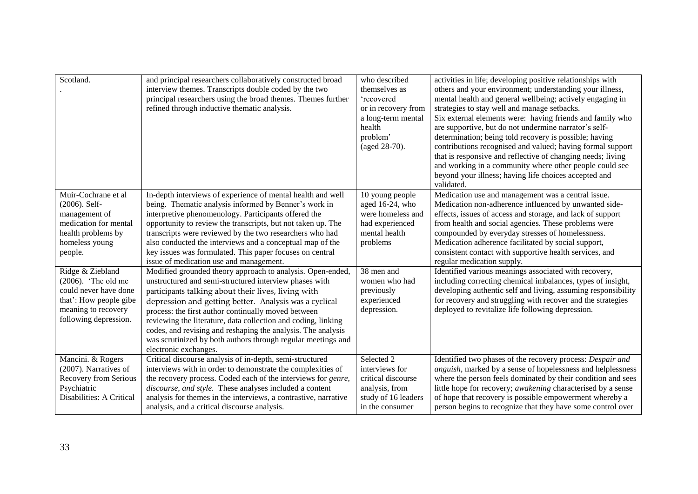| Scotland.                                                                                                                                     | and principal researchers collaboratively constructed broad<br>interview themes. Transcripts double coded by the two<br>principal researchers using the broad themes. Themes further<br>refined through inductive thematic analysis.                                                                                                                                                                                                                                                                                   | who described<br>themselves as<br>'recovered<br>or in recovery from<br>a long-term mental<br>health<br>problem'<br>(aged 28-70). | activities in life; developing positive relationships with<br>others and your environment; understanding your illness,<br>mental health and general wellbeing; actively engaging in<br>strategies to stay well and manage setbacks.<br>Six external elements were: having friends and family who<br>are supportive, but do not undermine narrator's self-<br>determination; being told recovery is possible; having<br>contributions recognised and valued; having formal support<br>that is responsive and reflective of changing needs; living<br>and working in a community where other people could see<br>beyond your illness; having life choices accepted and<br>validated. |
|-----------------------------------------------------------------------------------------------------------------------------------------------|------------------------------------------------------------------------------------------------------------------------------------------------------------------------------------------------------------------------------------------------------------------------------------------------------------------------------------------------------------------------------------------------------------------------------------------------------------------------------------------------------------------------|----------------------------------------------------------------------------------------------------------------------------------|------------------------------------------------------------------------------------------------------------------------------------------------------------------------------------------------------------------------------------------------------------------------------------------------------------------------------------------------------------------------------------------------------------------------------------------------------------------------------------------------------------------------------------------------------------------------------------------------------------------------------------------------------------------------------------|
| Muir-Cochrane et al<br>(2006). Self-<br>management of<br>medication for mental<br>health problems by<br>homeless young<br>people.             | In-depth interviews of experience of mental health and well<br>being. Thematic analysis informed by Benner's work in<br>interpretive phenomenology. Participants offered the<br>opportunity to review the transcripts, but not taken up. The<br>transcripts were reviewed by the two researchers who had<br>also conducted the interviews and a conceptual map of the<br>key issues was formulated. This paper focuses on central<br>issue of medication use and management.                                           | 10 young people<br>aged 16-24, who<br>were homeless and<br>had experienced<br>mental health<br>problems                          | Medication use and management was a central issue.<br>Medication non-adherence influenced by unwanted side-<br>effects, issues of access and storage, and lack of support<br>from health and social agencies. These problems were<br>compounded by everyday stresses of homelessness.<br>Medication adherence facilitated by social support,<br>consistent contact with supportive health services, and<br>regular medication supply.                                                                                                                                                                                                                                              |
| Ridge & Ziebland<br>$(2006)$ . 'The old me<br>could never have done<br>that': How people gibe<br>meaning to recovery<br>following depression. | Modified grounded theory approach to analysis. Open-ended,<br>unstructured and semi-structured interview phases with<br>participants talking about their lives, living with<br>depression and getting better. Analysis was a cyclical<br>process: the first author continually moved between<br>reviewing the literature, data collection and coding, linking<br>codes, and revising and reshaping the analysis. The analysis<br>was scrutinized by both authors through regular meetings and<br>electronic exchanges. | 38 men and<br>women who had<br>previously<br>experienced<br>depression.                                                          | Identified various meanings associated with recovery,<br>including correcting chemical imbalances, types of insight,<br>developing authentic self and living, assuming responsibility<br>for recovery and struggling with recover and the strategies<br>deployed to revitalize life following depression.                                                                                                                                                                                                                                                                                                                                                                          |
| Mancini. & Rogers<br>(2007). Narratives of<br>Recovery from Serious<br>Psychiatric<br>Disabilities: A Critical                                | Critical discourse analysis of in-depth, semi-structured<br>interviews with in order to demonstrate the complexities of<br>the recovery process. Coded each of the interviews for genre,<br>discourse, and style. These analyses included a content<br>analysis for themes in the interviews, a contrastive, narrative<br>analysis, and a critical discourse analysis.                                                                                                                                                 | Selected 2<br>interviews for<br>critical discourse<br>analysis, from<br>study of 16 leaders<br>in the consumer                   | Identified two phases of the recovery process: Despair and<br>anguish, marked by a sense of hopelessness and helplessness<br>where the person feels dominated by their condition and sees<br>little hope for recovery; awakening characterised by a sense<br>of hope that recovery is possible empowerment whereby a<br>person begins to recognize that they have some control over                                                                                                                                                                                                                                                                                                |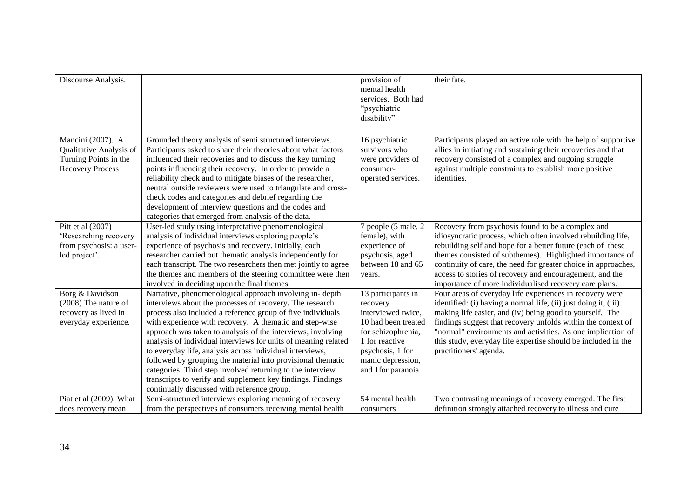| Discourse Analysis.                                                                              |                                                                                                                                                                                                                                                                                                                                                                                                                                                                                                                                                                                                                                                                                       | provision of<br>mental health<br>services. Both had<br>"psychiatric<br>disability".                                                                                                | their fate.                                                                                                                                                                                                                                                                                                                                                                                                                           |
|--------------------------------------------------------------------------------------------------|---------------------------------------------------------------------------------------------------------------------------------------------------------------------------------------------------------------------------------------------------------------------------------------------------------------------------------------------------------------------------------------------------------------------------------------------------------------------------------------------------------------------------------------------------------------------------------------------------------------------------------------------------------------------------------------|------------------------------------------------------------------------------------------------------------------------------------------------------------------------------------|---------------------------------------------------------------------------------------------------------------------------------------------------------------------------------------------------------------------------------------------------------------------------------------------------------------------------------------------------------------------------------------------------------------------------------------|
| Mancini (2007). A<br>Qualitative Analysis of<br>Turning Points in the<br><b>Recovery Process</b> | Grounded theory analysis of semi structured interviews.<br>Participants asked to share their theories about what factors<br>influenced their recoveries and to discuss the key turning<br>points influencing their recovery. In order to provide a<br>reliability check and to mitigate biases of the researcher,<br>neutral outside reviewers were used to triangulate and cross-<br>check codes and categories and debrief regarding the<br>development of interview questions and the codes and<br>categories that emerged from analysis of the data.                                                                                                                              | 16 psychiatric<br>survivors who<br>were providers of<br>consumer-<br>operated services.                                                                                            | Participants played an active role with the help of supportive<br>allies in initiating and sustaining their recoveries and that<br>recovery consisted of a complex and ongoing struggle<br>against multiple constraints to establish more positive<br>identities.                                                                                                                                                                     |
| Pitt et al (2007)<br>'Researching recovery<br>from psychosis: a user-<br>led project'.           | User-led study using interpretative phenomenological<br>analysis of individual interviews exploring people's<br>experience of psychosis and recovery. Initially, each<br>researcher carried out thematic analysis independently for<br>each transcript. The two researchers then met jointly to agree<br>the themes and members of the steering committee were then<br>involved in deciding upon the final themes.                                                                                                                                                                                                                                                                    | 7 people (5 male, 2<br>female), with<br>experience of<br>psychosis, aged<br>between 18 and 65<br>years.                                                                            | Recovery from psychosis found to be a complex and<br>idiosyncratic process, which often involved rebuilding life,<br>rebuilding self and hope for a better future (each of these<br>themes consisted of subthemes). Highlighted importance of<br>continuity of care, the need for greater choice in approaches,<br>access to stories of recovery and encouragement, and the<br>importance of more individualised recovery care plans. |
| Borg & Davidson<br>(2008) The nature of<br>recovery as lived in<br>everyday experience.          | Narrative, phenomenological approach involving in-depth<br>interviews about the processes of recovery. The research<br>process also included a reference group of five individuals<br>with experience with recovery. A thematic and step-wise<br>approach was taken to analysis of the interviews, involving<br>analysis of individual interviews for units of meaning related<br>to everyday life, analysis across individual interviews,<br>followed by grouping the material into provisional thematic<br>categories. Third step involved returning to the interview<br>transcripts to verify and supplement key findings. Findings<br>continually discussed with reference group. | 13 participants in<br>recovery<br>interviewed twice,<br>10 had been treated<br>for schizophrenia,<br>1 for reactive<br>psychosis, 1 for<br>manic depression,<br>and 1for paranoia. | Four areas of everyday life experiences in recovery were<br>identified: (i) having a normal life, (ii) just doing it, (iii)<br>making life easier, and (iv) being good to yourself. The<br>findings suggest that recovery unfolds within the context of<br>"normal" environments and activities. As one implication of<br>this study, everyday life expertise should be included in the<br>practitioners' agenda.                     |
| Piat et al (2009). What<br>does recovery mean                                                    | Semi-structured interviews exploring meaning of recovery<br>from the perspectives of consumers receiving mental health                                                                                                                                                                                                                                                                                                                                                                                                                                                                                                                                                                | 54 mental health<br>consumers                                                                                                                                                      | Two contrasting meanings of recovery emerged. The first<br>definition strongly attached recovery to illness and cure                                                                                                                                                                                                                                                                                                                  |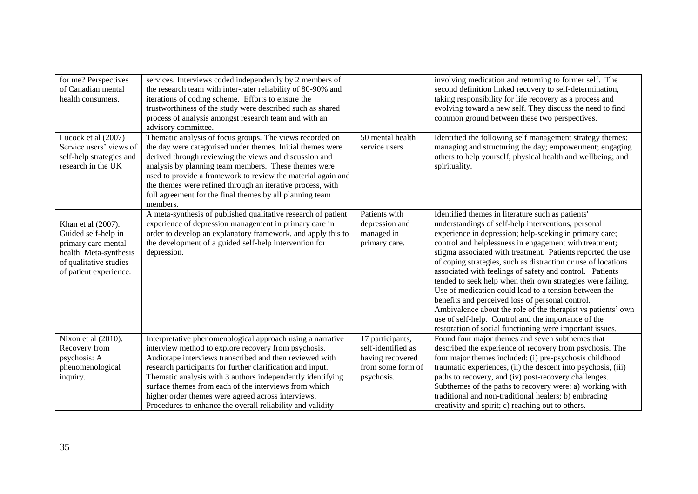| for me? Perspectives<br>of Canadian mental<br>health consumers.                                                                                | services. Interviews coded independently by 2 members of<br>the research team with inter-rater reliability of 80-90% and<br>iterations of coding scheme. Efforts to ensure the<br>trustworthiness of the study were described such as shared<br>process of analysis amongst research team and with an<br>advisory committee.                                                                                                                                                           |                                                                                               | involving medication and returning to former self. The<br>second definition linked recovery to self-determination,<br>taking responsibility for life recovery as a process and<br>evolving toward a new self. They discuss the need to find<br>common ground between these two perspectives.                                                                                                                                                                                                                                                                                                                                                                                                                                                                                             |
|------------------------------------------------------------------------------------------------------------------------------------------------|----------------------------------------------------------------------------------------------------------------------------------------------------------------------------------------------------------------------------------------------------------------------------------------------------------------------------------------------------------------------------------------------------------------------------------------------------------------------------------------|-----------------------------------------------------------------------------------------------|------------------------------------------------------------------------------------------------------------------------------------------------------------------------------------------------------------------------------------------------------------------------------------------------------------------------------------------------------------------------------------------------------------------------------------------------------------------------------------------------------------------------------------------------------------------------------------------------------------------------------------------------------------------------------------------------------------------------------------------------------------------------------------------|
| Lucock et al (2007)<br>Service users' views of<br>self-help strategies and<br>research in the UK                                               | Thematic analysis of focus groups. The views recorded on<br>the day were categorised under themes. Initial themes were<br>derived through reviewing the views and discussion and<br>analysis by planning team members. These themes were<br>used to provide a framework to review the material again and<br>the themes were refined through an iterative process, with<br>full agreement for the final themes by all planning team<br>members.                                         | 50 mental health<br>service users                                                             | Identified the following self management strategy themes:<br>managing and structuring the day; empowerment; engaging<br>others to help yourself; physical health and wellbeing; and<br>spirituality.                                                                                                                                                                                                                                                                                                                                                                                                                                                                                                                                                                                     |
| Khan et al (2007).<br>Guided self-help in<br>primary care mental<br>health: Meta-synthesis<br>of qualitative studies<br>of patient experience. | A meta-synthesis of published qualitative research of patient<br>experience of depression management in primary care in<br>order to develop an explanatory framework, and apply this to<br>the development of a guided self-help intervention for<br>depression.                                                                                                                                                                                                                       | Patients with<br>depression and<br>managed in<br>primary care.                                | Identified themes in literature such as patients'<br>understandings of self-help interventions, personal<br>experience in depression; help-seeking in primary care;<br>control and helplessness in engagement with treatment;<br>stigma associated with treatment. Patients reported the use<br>of coping strategies, such as distraction or use of locations<br>associated with feelings of safety and control. Patients<br>tended to seek help when their own strategies were failing.<br>Use of medication could lead to a tension between the<br>benefits and perceived loss of personal control.<br>Ambivalence about the role of the therapist vs patients' own<br>use of self-help. Control and the importance of the<br>restoration of social functioning were important issues. |
| Nixon et al (2010).<br>Recovery from<br>psychosis: A<br>phenomenological<br>inquiry.                                                           | Interpretative phenomenological approach using a narrative<br>interview method to explore recovery from psychosis.<br>Audiotape interviews transcribed and then reviewed with<br>research participants for further clarification and input.<br>Thematic analysis with 3 authors independently identifying<br>surface themes from each of the interviews from which<br>higher order themes were agreed across interviews.<br>Procedures to enhance the overall reliability and validity | 17 participants,<br>self-identified as<br>having recovered<br>from some form of<br>psychosis. | Found four major themes and seven subthemes that<br>described the experience of recovery from psychosis. The<br>four major themes included: (i) pre-psychosis childhood<br>traumatic experiences, (ii) the descent into psychosis, (iii)<br>paths to recovery, and (iv) post-recovery challenges.<br>Subthemes of the paths to recovery were: a) working with<br>traditional and non-traditional healers; b) embracing<br>creativity and spirit; c) reaching out to others.                                                                                                                                                                                                                                                                                                              |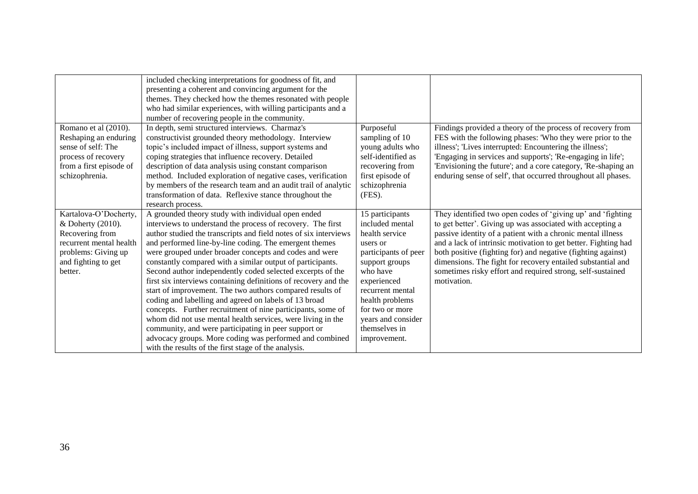|                                                                                                                                                   | included checking interpretations for goodness of fit, and<br>presenting a coherent and convincing argument for the<br>themes. They checked how the themes resonated with people<br>who had similar experiences, with willing participants and a<br>number of recovering people in the community.                                                                                                                                                                                                                                                                                                                                                                                                                                                                                                                                                                                                                                       |                                                                                                                                                                                                                                                        |                                                                                                                                                                                                                                                                                                                                                                                                                                                                       |
|---------------------------------------------------------------------------------------------------------------------------------------------------|-----------------------------------------------------------------------------------------------------------------------------------------------------------------------------------------------------------------------------------------------------------------------------------------------------------------------------------------------------------------------------------------------------------------------------------------------------------------------------------------------------------------------------------------------------------------------------------------------------------------------------------------------------------------------------------------------------------------------------------------------------------------------------------------------------------------------------------------------------------------------------------------------------------------------------------------|--------------------------------------------------------------------------------------------------------------------------------------------------------------------------------------------------------------------------------------------------------|-----------------------------------------------------------------------------------------------------------------------------------------------------------------------------------------------------------------------------------------------------------------------------------------------------------------------------------------------------------------------------------------------------------------------------------------------------------------------|
| Romano et al (2010).<br>Reshaping an enduring<br>sense of self: The<br>process of recovery<br>from a first episode of<br>schizophrenia.           | In depth, semi structured interviews. Charmaz's<br>constructivist grounded theory methodology. Interview<br>topic's included impact of illness, support systems and<br>coping strategies that influence recovery. Detailed<br>description of data analysis using constant comparison<br>method. Included exploration of negative cases, verification<br>by members of the research team and an audit trail of analytic<br>transformation of data. Reflexive stance throughout the<br>research process.                                                                                                                                                                                                                                                                                                                                                                                                                                  | Purposeful<br>sampling of 10<br>young adults who<br>self-identified as<br>recovering from<br>first episode of<br>schizophrenia<br>$(FES)$ .                                                                                                            | Findings provided a theory of the process of recovery from<br>FES with the following phases: 'Who they were prior to the<br>illness'; 'Lives interrupted: Encountering the illness';<br>'Engaging in services and supports'; 'Re-engaging in life';<br>'Envisioning the future'; and a core category, 'Re-shaping an<br>enduring sense of self', that occurred throughout all phases.                                                                                 |
| Kartalova-O'Docherty,<br>& Doherty (2010).<br>Recovering from<br>recurrent mental health<br>problems: Giving up<br>and fighting to get<br>better. | A grounded theory study with individual open ended<br>interviews to understand the process of recovery. The first<br>author studied the transcripts and field notes of six interviews<br>and performed line-by-line coding. The emergent themes<br>were grouped under broader concepts and codes and were<br>constantly compared with a similar output of participants.<br>Second author independently coded selected excerpts of the<br>first six interviews containing definitions of recovery and the<br>start of improvement. The two authors compared results of<br>coding and labelling and agreed on labels of 13 broad<br>concepts. Further recruitment of nine participants, some of<br>whom did not use mental health services, were living in the<br>community, and were participating in peer support or<br>advocacy groups. More coding was performed and combined<br>with the results of the first stage of the analysis. | 15 participants<br>included mental<br>health service<br>users or<br>participants of peer<br>support groups<br>who have<br>experienced<br>recurrent mental<br>health problems<br>for two or more<br>years and consider<br>themselves in<br>improvement. | They identified two open codes of 'giving up' and 'fighting<br>to get better'. Giving up was associated with accepting a<br>passive identity of a patient with a chronic mental illness<br>and a lack of intrinsic motivation to get better. Fighting had<br>both positive (fighting for) and negative (fighting against)<br>dimensions. The fight for recovery entailed substantial and<br>sometimes risky effort and required strong, self-sustained<br>motivation. |